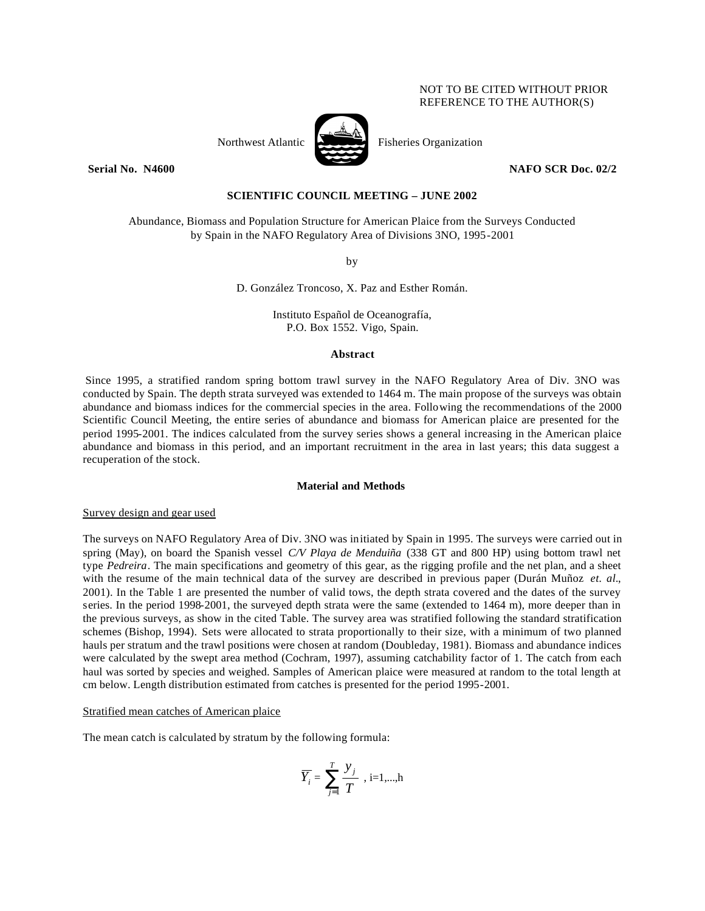## NOT TO BE CITED WITHOUT PRIOR REFERENCE TO THE AUTHOR(S)





Northwest Atlantic Fisheries Organization

**Serial No. 14600 NAFO SCR Doc. 02/2**  NAFO SCR Doc. 02/2

# **SCIENTIFIC COUNCIL MEETING – JUNE 2002**

Abundance, Biomass and Population Structure for American Plaice from the Surveys Conducted by Spain in the NAFO Regulatory Area of Divisions 3NO, 1995-2001

by

D. González Troncoso, X. Paz and Esther Román.

Instituto Español de Oceanografía, P.O. Box 1552. Vigo, Spain.

## **Abstract**

Since 1995, a stratified random spring bottom trawl survey in the NAFO Regulatory Area of Div. 3NO was conducted by Spain. The depth strata surveyed was extended to 1464 m. The main propose of the surveys was obtain abundance and biomass indices for the commercial species in the area. Following the recommendations of the 2000 Scientific Council Meeting, the entire series of abundance and biomass for American plaice are presented for the period 1995-2001. The indices calculated from the survey series shows a general increasing in the American plaice abundance and biomass in this period, and an important recruitment in the area in last years; this data suggest a recuperation of the stock.

## **Material and Methods**

Survey design and gear used

The surveys on NAFO Regulatory Area of Div. 3NO was initiated by Spain in 1995. The surveys were carried out in spring (May), on board the Spanish vessel *C/V Playa de Menduiña* (338 GT and 800 HP) using bottom trawl net type *Pedreira*. The main specifications and geometry of this gear, as the rigging profile and the net plan, and a sheet with the resume of the main technical data of the survey are described in previous paper (Durán Muñoz *et. al.*, 2001). In the Table 1 are presented the number of valid tows, the depth strata covered and the dates of the survey series. In the period 1998-2001, the surveyed depth strata were the same (extended to 1464 m), more deeper than in the previous surveys, as show in the cited Table. The survey area was stratified following the standard stratification schemes (Bishop, 1994). Sets were allocated to strata proportionally to their size, with a minimum of two planned hauls per stratum and the trawl positions were chosen at random (Doubleday, 1981). Biomass and abundance indices were calculated by the swept area method (Cochram, 1997), assuming catchability factor of 1. The catch from each haul was sorted by species and weighed. Samples of American plaice were measured at random to the total length at cm below. Length distribution estimated from catches is presented for the period 1995-2001.

### Stratified mean catches of American plaice

The mean catch is calculated by stratum by the following formula:

$$
\overline{Y}_i = \sum_{j=1}^T \frac{y_j}{T} , i=1,...,h
$$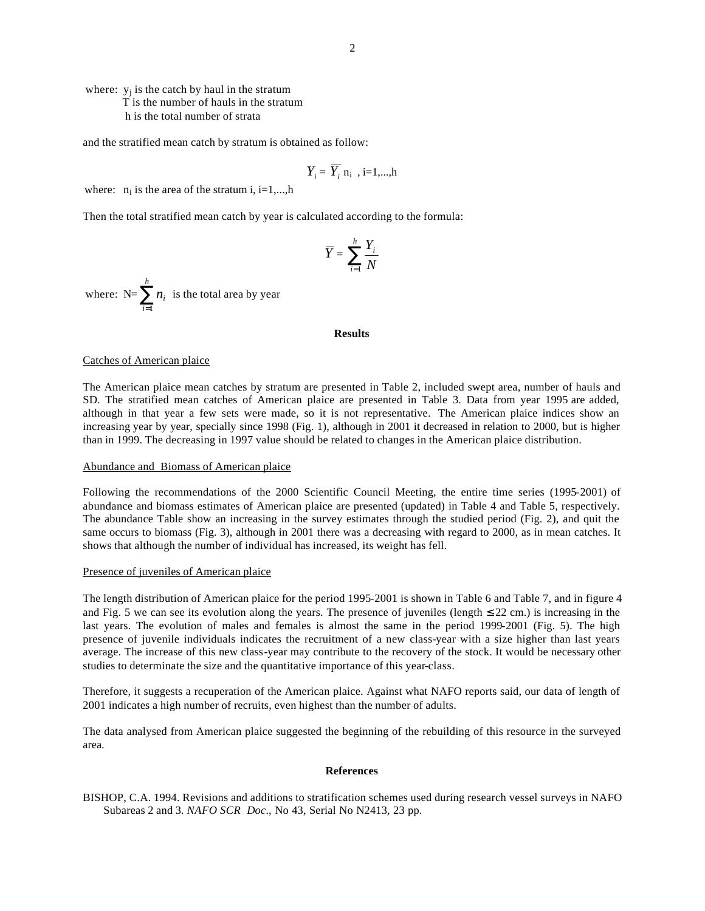where:  $y_j$  is the catch by haul in the stratum T is the number of hauls in the stratum h is the total number of strata

and the stratified mean catch by stratum is obtained as follow:

$$
Y_i = \overline{Y}_i \, \mathbf{n}_i \, , i=1,...,h
$$

where:  $n_i$  is the area of the stratum i, i=1,...,h

Then the total stratified mean catch by year is calculated according to the formula:

$$
\overline{Y} = \sum_{i=1}^{h} \frac{Y_i}{N}
$$

where:  $N=\sum_{i=1}^{\infty}$ *h i ni* 1 is the total area by year

### **Results**

## Catches of American plaice

The American plaice mean catches by stratum are presented in Table 2, included swept area, number of hauls and SD. The stratified mean catches of American plaice are presented in Table 3. Data from year 1995 are added, although in that year a few sets were made, so it is not representative. The American plaice indices show an increasing year by year, specially since 1998 (Fig. 1), although in 2001 it decreased in relation to 2000, but is higher than in 1999. The decreasing in 1997 value should be related to changes in the American plaice distribution.

#### Abundance and Biomass of American plaice

Following the recommendations of the 2000 Scientific Council Meeting, the entire time series (1995-2001) of abundance and biomass estimates of American plaice are presented (updated) in Table 4 and Table 5, respectively. The abundance Table show an increasing in the survey estimates through the studied period (Fig. 2), and quit the same occurs to biomass (Fig. 3), although in 2001 there was a decreasing with regard to 2000, as in mean catches. It shows that although the number of individual has increased, its weight has fell.

## Presence of juveniles of American plaice

The length distribution of American plaice for the period 1995-2001 is shown in Table 6 and Table 7, and in figure 4 and Fig. 5 we can see its evolution along the years. The presence of juveniles (length  $\leq$  22 cm.) is increasing in the last years. The evolution of males and females is almost the same in the period 1999-2001 (Fig. 5). The high presence of juvenile individuals indicates the recruitment of a new class-year with a size higher than last years average. The increase of this new class-year may contribute to the recovery of the stock. It would be necessary other studies to determinate the size and the quantitative importance of this year-class.

Therefore, it suggests a recuperation of the American plaice. Against what NAFO reports said, our data of length of 2001 indicates a high number of recruits, even highest than the number of adults.

The data analysed from American plaice suggested the beginning of the rebuilding of this resource in the surveyed area.

#### **References**

BISHOP, C.A. 1994. Revisions and additions to stratification schemes used during research vessel surveys in NAFO Subareas 2 and 3*. NAFO SCR Doc*., No 43, Serial No N2413, 23 pp.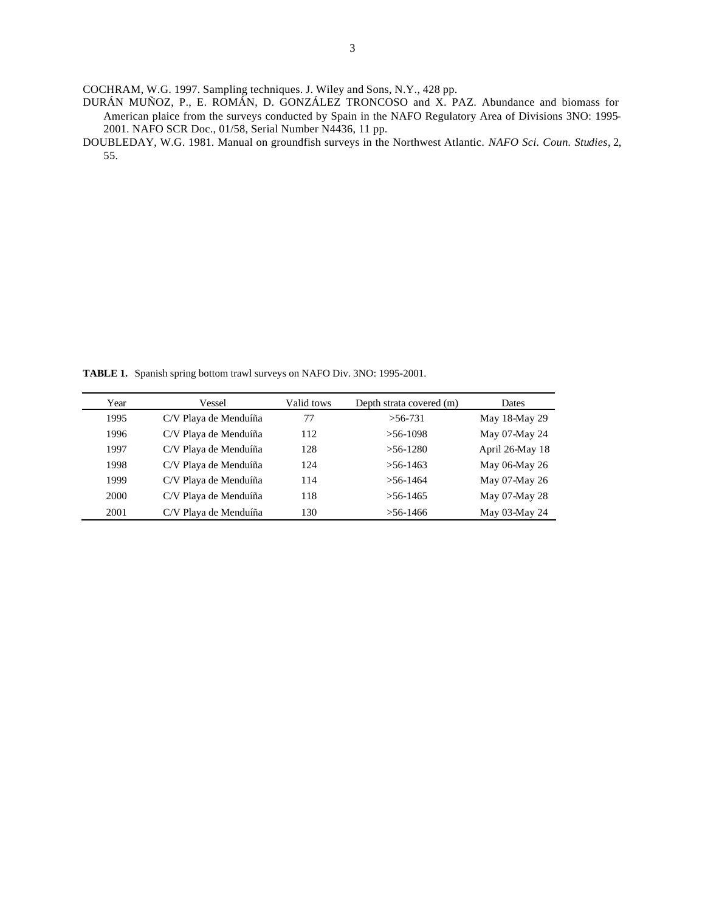COCHRAM, W.G. 1997. Sampling techniques. J. Wiley and Sons, N.Y., 428 pp.

- DURÁN MUÑOZ, P., E. ROMÁN, D. GONZÁLEZ TRONCOSO and X. PAZ. Abundance and biomass for American plaice from the surveys conducted by Spain in the NAFO Regulatory Area of Divisions 3NO: 1995- 2001. NAFO SCR Doc., 01/58, Serial Number N4436, 11 pp.
- DOUBLEDAY, W.G. 1981. Manual on groundfish surveys in the Northwest Atlantic. *NAFO Sci. Coun. Studies*, 2, 55.

**TABLE 1.** Spanish spring bottom trawl surveys on NAFO Div. 3NO: 1995-2001.

| Year | Vessel                | Valid tows | Depth strata covered (m) | Dates           |
|------|-----------------------|------------|--------------------------|-----------------|
| 1995 | C/V Playa de Menduíña | 77         | $>56-731$                | May 18-May 29   |
| 1996 | C/V Playa de Menduíña | 112        | $> 56-1098$              | May 07-May 24   |
| 1997 | C/V Playa de Menduíña | 128        | $>56-1280$               | April 26-May 18 |
| 1998 | C/V Playa de Menduíña | 124        | $>56-1463$               | May 06-May 26   |
| 1999 | C/V Playa de Menduíña | 114        | $>$ 56-1464              | May 07-May 26   |
| 2000 | C/V Playa de Menduíña | 118        | $>$ 56-1465              | May 07-May 28   |
| 2001 | C/V Playa de Menduíña | 130        | $> 56 - 1466$            | May 03-May 24   |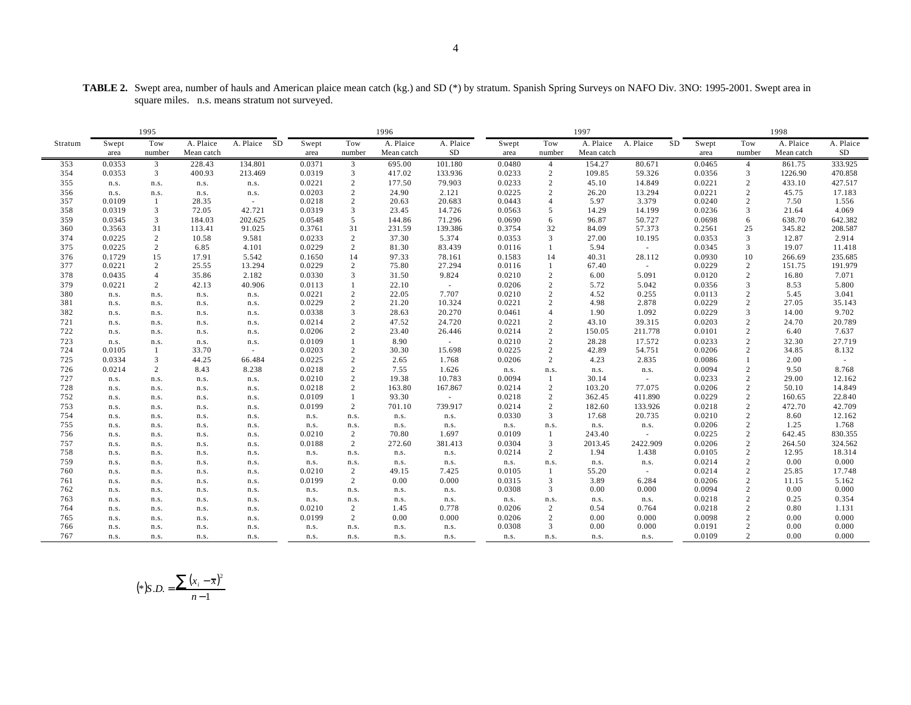|                                                | <b>TABLE 2.</b> Swept area, number of hauls and American plaice mean catch (kg.) and SD (*) by stratum. Spanish Spring Surveys on NAFO Div. 3NO: 1995-2001. Swept area in |  |
|------------------------------------------------|---------------------------------------------------------------------------------------------------------------------------------------------------------------------------|--|
| square miles. n.s. means stratum not surveyed. |                                                                                                                                                                           |  |

|            |              | 1995           |              |                 |                |                        | 1996          |               |                  |                     | 1997            |                   |                  |                | 1998            |                   |
|------------|--------------|----------------|--------------|-----------------|----------------|------------------------|---------------|---------------|------------------|---------------------|-----------------|-------------------|------------------|----------------|-----------------|-------------------|
| Stratum    | Swept        | Tow            | A. Plaice    | A. Plaice<br>SD | Swept          | Tow                    | A. Plaice     | A. Plaice     | Swept            | Tow                 | A. Plaice       | A. Plaice<br>SD   | Swept            | Tow            | A. Plaice       | A. Plaice         |
|            | area         | number         | Mean catch   |                 | area           | number                 | Mean catch    | <b>SD</b>     | area             | number              | Mean catch      |                   | area             | number         | Mean catch      | SD                |
| 353        | 0.0353       | 3              | 228.43       | 134.801         | 0.0371         | $\mathfrak{Z}$         | 695.00        | 101.180       | 0.0480           | $\overline{4}$      | 154.27          | 80.671            | 0.0465           | $\overline{4}$ | 861.75          | 333.925           |
| 354        | 0.0353       | 3              | 400.93       | 213.469         | 0.0319         | 3                      | 417.02        | 133.936       | 0.0233           | $\overline{c}$      | 109.85          | 59.326            | 0.0356           | 3              | 1226.90         | 470.858           |
| 355        | n.s.         | n.s.           | n.s.         | n.s.            | 0.0221         | $\overline{2}$         | 177.50        | 79.903        | 0.0233           | 2                   | 45.10           | 14.849            | 0.0221           | 2              | 433.10          | 427.517           |
| 356        | n.s.         | n.s.           | n.s.         | n.s.            | 0.0203         | $\overline{2}$         | 24.90         | 2.121         | 0.0225           | 2                   | 26.20           | 13.294            | 0.0221           | 2              | 45.75           | 17.183            |
| 357        | 0.0109       | -1             | 28.35        | $\sim$          | 0.0218         | $\overline{2}$         | 20.63         | 20.683        | 0.0443           | $\overline{4}$      | 5.97            | 3.379             | 0.0240           | 2              | 7.50            | 1.556             |
| 358        | 0.0319       | 3              | 72.05        | 42.721          | 0.0319         | 3                      | 23.45         | 14.726        | 0.0563           | 5                   | 14.29           | 14.199            | 0.0236           | 3              | 21.64           | 4.069             |
| 359        | 0.0345       | 3              | 184.03       | 202.625         | 0.0548         | $5\overline{)}$        | 144.86        | 71.296        | 0.0690           | 6                   | 96.87           | 50.727            | 0.0698           | 6              | 638.70          | 642.382           |
| 360        | 0.3563       | 31             | 113.41       | 91.025          | 0.3761         | 31                     | 231.59        | 139.386       | 0.3754           | 32                  | 84.09           | 57.373            | 0.2561           | 25             | 345.82          | 208.587           |
| 374        | 0.0225       | 2              | 10.58        | 9.581           | 0.0233         | $\overline{2}$         | 37.30         | 5.374         | 0.0353           | 3                   | 27.00           | 10.195            | 0.0353           | 3              | 12.87           | 2.914             |
| 375        | 0.0225       | $\overline{2}$ | 6.85         | 4.101           | 0.0229         | $\overline{2}$         | 81.30         | 83.439        | 0.0116           |                     | 5.94            | $\sim$            | 0.0345           | 3              | 19.07           | 11.418            |
| 376        | 0.1729       | 15             | 17.91        | 5.542           | 0.1650         | 14                     | 97.33         | 78.161        | 0.1583           | 14                  | 40.31           | 28.112            | 0.0930           | 10             | 266.69          | 235.685           |
| 377        | 0.0221       | 2              | 25.55        | 13.294          | 0.0229         | 2                      | 75.80         | 27.294        | 0.0116           | 1                   | 67.40           | $\sim$            | 0.0229           | 2              | 151.75          | 191.979           |
| 378        | 0.0435       | $\overline{4}$ | 35.86        | 2.182           | 0.0330         | 3                      | 31.50         | 9.824         | 0.0210           | 2                   | 6.00            | 5.091             | 0.0120           | 2              | 16.80           | 7.071             |
| 379        | 0.0221       | 2              | 42.13        | 40.906          | 0.0113         |                        | 22.10         | $\sim$        | 0.0206           | 2                   | 5.72            | 5.042             | 0.0356           | 3              | 8.53            | 5.800             |
| 380        | n.s.         | n.s.           | n.s.         | n.s.            | 0.0221         | $\overline{2}$         | 22.05         | 7.707         | 0.0210           | 2                   | 4.52            | 0.255             | 0.0113           | 2              | 5.45            | 3.041             |
| 381        | n.s.         | n.s.           | n.s.         | n.s.            | 0.0229         | $\overline{2}$         | 21.20         | 10.324        | 0.0221           | 2                   | 4.98            | 2.878             | 0.0229           | 2              | 27.05           | 35.143            |
| 382        | n.s.         | n.s.           | n.s.         | n.s.            | 0.0338         | 3                      | 28.63         | 20.270        | 0.0461           | $\overline{4}$      | 1.90            | 1.092             | 0.0229           | 3              | 14.00           | 9.702             |
| 721        | n.s.         | n.s.           | n.s.         | n.s.            | 0.0214         | $\overline{2}$         | 47.52         | 24.720        | 0.0221           | 2                   | 43.10           | 39.315            | 0.0203           | 2              | 24.70           | 20.789            |
| 722        | n.s.         | n.s.           | n.s.         | n.s.            | 0.0206         | $\overline{2}$         | 23.40         | 26.446        | 0.0214           | $\sqrt{2}$          | 150.05          | 211.778           | 0.0101           | $\overline{c}$ | 6.40            | 7.637             |
| 723        | n.s.         | n.s.           | n.s.         | n.s.            | 0.0109         | $\overline{1}$         | 8.90          | $\sim$        | 0.0210           | $\overline{c}$      | 28.28           | 17.572            | 0.0233           | $\overline{2}$ | 32.30           | 27.719            |
| 724        | 0.0105       | $\overline{1}$ | 33.70        | $\sim$          | 0.0203         | $\overline{2}$         | 30.30         | 15.698        | 0.0225           | 2                   | 42.89           | 54.751            | 0.0206           | 2              | 34.85           | 8.132             |
| 725        | 0.0334       | 3              | 44.25        | 66.484          | 0.0225         | $\overline{2}$         | 2.65          | 1.768         | 0.0206           | 2                   | 4.23            | 2.835             | 0.0086           | -1             | 2.00            | $\sim$            |
| 726        | 0.0214       | $\overline{2}$ | 8.43         | 8.238           | 0.0218         | $\overline{2}$         | 7.55          | 1.626         | n.s.             | n.s.                | n.s.            | n.s.              | 0.0094           | 2              | 9.50            | 8.768             |
| 727        | n.s.         | n.s.           | n.s.         | n.s.            | 0.0210         | $\overline{2}$         | 19.38         | 10.783        | 0.0094           |                     | 30.14           | $\sim$            | 0.0233           | $\overline{c}$ | 29.00           | 12.162            |
| 728        | n.s.         | n.s.           | n.s.         | n.s.            | 0.0218         | 2                      | 163.80        | 167.867       | 0.0214           | $\overline{c}$      | 103.20          | 77.075            | 0.0206           | 2              | 50.10           | 14.849            |
| 752        | n.s.         | n.s.           | n.s.         | n.s.            | 0.0109         | $\overline{1}$         | 93.30         | $\sim$        | 0.0218           | $\overline{c}$      | 362.45          | 411.890           | 0.0229           | $\overline{2}$ | 160.65          | 22.840            |
| 753        | n.s.         | n.s.           | n.s.         | n.s.            | 0.0199         | 2                      | 701.10        | 739.917       | 0.0214           | $\sqrt{2}$          | 182.60          | 133.926           | 0.0218           | 2              | 472.70          | 42.709            |
| 754        | n.s.         | n.s.           | n.s.         | n.s.            | n.s.           | n.s.                   | n.s.          | n.s.          | 0.0330           | 3                   | 17.68           | 20.735            | 0.0210           | 2              | 8.60            | 12.162            |
| 755        | n.s.         | n.s.           | n.s.         | n.s.            | n.s.           | n.s.                   | n.s.          | n.s.          | n.s.             | n.s.                | n.s.            | n.s.              | 0.0206           | 2              | 1.25            | 1.768             |
| 756        | n.s.         | n.s.           | n.s.         | n.s.            | 0.0210         | $\overline{2}$         | 70.80         | 1.697         | 0.0109           |                     | 243.40          | $\sim$            | 0.0225           | 2              | 642.45          | 830.355           |
| 757<br>758 | n.s.         | n.s.           | n.s.         | n.s.            | 0.0188         | 2                      | 272.60        | 381.413       | 0.0304<br>0.0214 | 3<br>$\overline{2}$ | 2013.45<br>1.94 | 2422.909<br>1.438 | 0.0206<br>0.0105 | 2<br>2         | 264.50<br>12.95 | 324.562<br>18.314 |
| 759        | n.s.         | n.s.           | n.s.         | n.s.            | n.s.           | n.s.                   | n.s.          | n.s.          |                  |                     |                 |                   | 0.0214           | $\overline{c}$ | 0.00            | 0.000             |
| 760        | n.s.         | n.s.           | n.s.         | n.s.            | n.s.           | n.s.<br>2              | n.s.<br>49.15 | n.s.<br>7.425 | n.s.<br>0.0105   | n.s.                | n.s.<br>55.20   | n.s.              | 0.0214           | 2              | 25.85           | 17.748            |
|            | n.s.         | n.s.           | n.s.         | n.s.            | 0.0210         |                        |               |               |                  | 1<br>3              |                 | $\sim$            |                  |                |                 | 5.162             |
| 761<br>762 | n.s.<br>n.s. | n.s.<br>n.s.   | n.s.<br>n.s. | n.s.<br>n.s.    | 0.0199<br>n.s. | 2<br>n.s.              | 0.00<br>n.s.  | 0.000<br>n.s. | 0.0315<br>0.0308 | 3                   | 3.89<br>0.00    | 6.284<br>0.000    | 0.0206<br>0.0094 | 2<br>2         | 11.15<br>0.00   | 0.000             |
| 763        | n.s.         |                |              |                 |                |                        |               |               | n.s.             | n.s.                |                 |                   | 0.0218           | 2              | 0.25            | 0.354             |
| 764        |              | n.s.           | n.s.         | n.s.            | n.s.<br>0.0210 | n.s.<br>$\overline{2}$ | n.s.<br>1.45  | n.s.<br>0.778 | 0.0206           | $\overline{c}$      | n.s.<br>0.54    | n.s.<br>0.764     | 0.0218           | $\overline{2}$ | 0.80            | 1.131             |
| 765        | n.s.         | n.s.           | n.s.         | n.s.            | 0.0199         | 2                      | 0.00          | 0.000         | 0.0206           | 2                   | 0.00            | 0.000             | 0.0098           | 2              | 0.00            | 0.000             |
| 766        | n.s.<br>n.s. | n.s.<br>n.s.   | n.s.<br>n.s. | n.s.<br>n.s.    | n.s.           | n.s.                   | n.s.          | n.s.          | 0.0308           | 3                   | 0.00            | 0.000             | 0.0191           | 2              | 0.00            | 0.000             |
| 767        | n.s.         | n.s.           | n.s.         | n.s.            | n.s.           | n.s.                   | n.s.          | n.s.          | n.s.             | n.s.                | n.s.            | n.s.              | 0.0109           | 2              | 0.00            | 0.000             |
|            |              |                |              |                 |                |                        |               |               |                  |                     |                 |                   |                  |                |                 |                   |

$$
(*)S.D. = \frac{\sum (x_i - \bar{x})^2}{n - 1}
$$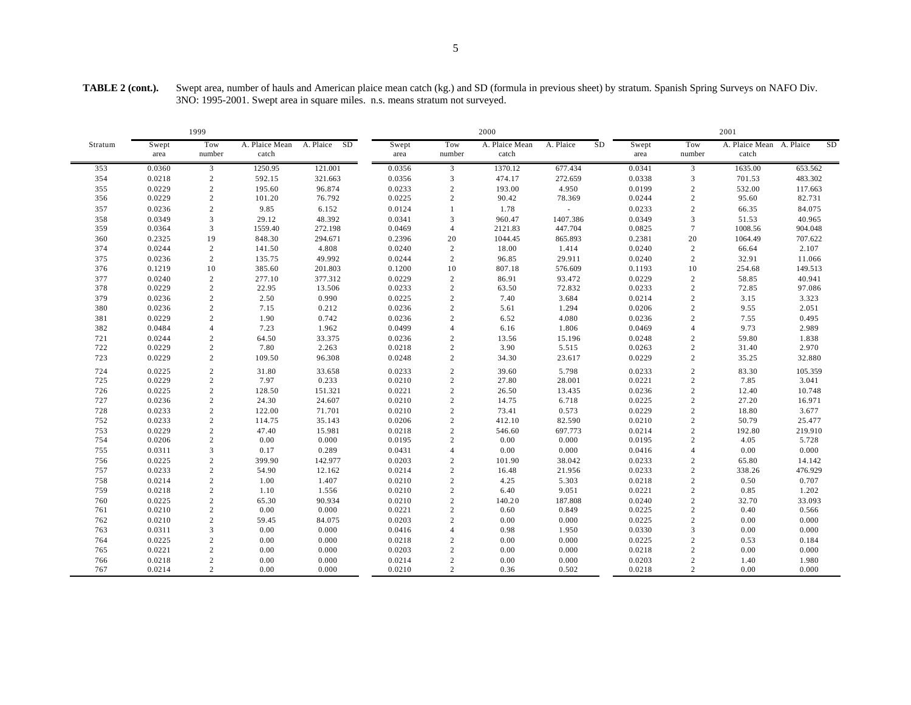|         |               | 1999           |                         |                 |               |                | 2000                    |                          |    |               |                | 2001                              |         |           |
|---------|---------------|----------------|-------------------------|-----------------|---------------|----------------|-------------------------|--------------------------|----|---------------|----------------|-----------------------------------|---------|-----------|
| Stratum | Swept<br>area | Tow<br>number  | A. Plaice Mean<br>catch | SD<br>A. Plaice | Swept<br>area | Tow<br>number  | A. Plaice Mean<br>catch | A. Plaice                | SD | Swept<br>area | Tow<br>number  | A. Plaice Mean A. Plaice<br>catch |         | <b>SD</b> |
| 353     | 0.0360        | 3              | 1250.95                 | 121.001         | 0.0356        | 3              | 1370.12                 | 677.434                  |    | 0.0341        | 3              | 1635.00                           | 653.562 |           |
| 354     | 0.0218        | $\overline{c}$ | 592.15                  | 321.663         | 0.0356        | 3              | 474.17                  | 272.659                  |    | 0.0338        | 3              | 701.53                            | 483.302 |           |
| 355     | 0.0229        | $\sqrt{2}$     | 195.60                  | 96.874          | 0.0233        | $\overline{c}$ | 193.00                  | 4.950                    |    | 0.0199        | $\overline{2}$ | 532.00                            | 117.663 |           |
| 356     | 0.0229        | $\mathbf{2}$   | 101.20                  | 76.792          | 0.0225        | $\overline{c}$ | 90.42                   | 78.369                   |    | 0.0244        | $\sqrt{2}$     | 95.60                             | 82.731  |           |
| 357     | 0.0236        | $\overline{c}$ | 9.85                    | 6.152           | 0.0124        | 1              | 1.78                    | $\overline{\phantom{a}}$ |    | 0.0233        | 2              | 66.35                             | 84.075  |           |
| 358     | 0.0349        | $\overline{3}$ | 29.12                   | 48.392          | 0.0341        | $\overline{3}$ | 960.47                  | 1407.386                 |    | 0.0349        | $\overline{3}$ | 51.53                             | 40.965  |           |
| 359     | 0.0364        | 3              | 1559.40                 | 272.198         | 0.0469        | $\overline{4}$ | 2121.83                 | 447.704                  |    | 0.0825        | $\overline{7}$ | 1008.56                           | 904.048 |           |
| 360     | 0.2325        | 19             | 848.30                  | 294.671         | 0.2396        | 20             | 1044.45                 | 865.893                  |    | 0.2381        | 20             | 1064.49                           | 707.622 |           |
| 374     | 0.0244        | $\overline{c}$ | 141.50                  | 4.808           | 0.0240        | $\overline{c}$ | 18.00                   | 1.414                    |    | 0.0240        | $\overline{c}$ | 66.64                             | 2.107   |           |
| 375     | 0.0236        | 2              | 135.75                  | 49.992          | 0.0244        | $\overline{c}$ | 96.85                   | 29.911                   |    | 0.0240        | 2              | 32.91                             | 11.066  |           |
| 376     | 0.1219        | 10             | 385.60                  | 201.803         | 0.1200        | 10             | 807.18                  | 576.609                  |    | 0.1193        | 10             | 254.68                            | 149.513 |           |
| 377     | 0.0240        | $\overline{c}$ | 277.10                  | 377.312         | 0.0229        | $\overline{c}$ | 86.91                   | 93.472                   |    | 0.0229        | 2              | 58.85                             | 40.941  |           |
| 378     | 0.0229        | 2              | 22.95                   | 13.506          | 0.0233        | $\overline{c}$ | 63.50                   | 72.832                   |    | 0.0233        | 2              | 72.85                             | 97.086  |           |
| 379     | 0.0236        | $\overline{2}$ | 2.50                    | 0.990           | 0.0225        | $\overline{2}$ | 7.40                    | 3.684                    |    | 0.0214        | $\overline{2}$ | 3.15                              | 3.323   |           |
| 380     | 0.0236        | $\overline{2}$ | 7.15                    | 0.212           | 0.0236        | $\sqrt{2}$     | 5.61                    | 1.294                    |    | 0.0206        | $\overline{2}$ | 9.55                              | 2.051   |           |
| 381     | 0.0229        | $\overline{2}$ | 1.90                    | 0.742           | 0.0236        | $\overline{2}$ | 6.52                    | 4.080                    |    | 0.0236        | 2              | 7.55                              | 0.495   |           |
| 382     | 0.0484        | $\overline{4}$ | 7.23                    | 1.962           | 0.0499        | $\overline{4}$ | 6.16                    | 1.806                    |    | 0.0469        | $\overline{4}$ | 9.73                              | 2.989   |           |
| 721     | 0.0244        | $\sqrt{2}$     | 64.50                   | 33.375          | 0.0236        | $\sqrt{2}$     | 13.56                   | 15.196                   |    | 0.0248        | $\overline{2}$ | 59.80                             | 1.838   |           |
| 722     | 0.0229        | $\overline{2}$ | 7.80                    | 2.263           | 0.0218        | $\sqrt{2}$     | 3.90                    | 5.515                    |    | 0.0263        | $\overline{2}$ | 31.40                             | 2.970   |           |
| 723     | 0.0229        | $\overline{c}$ | 109.50                  | 96.308          | 0.0248        | $\overline{c}$ | 34.30                   | 23.617                   |    | 0.0229        | 2              | 35.25                             | 32.880  |           |
| 724     | 0.0225        | $\overline{2}$ | 31.80                   | 33.658          | 0.0233        | $\overline{c}$ | 39.60                   | 5.798                    |    | 0.0233        | $\overline{2}$ | 83.30                             | 105.359 |           |
| 725     | 0.0229        | $\overline{c}$ | 7.97                    | 0.233           | 0.0210        | $\sqrt{2}$     | 27.80                   | 28.001                   |    | 0.0221        | $\overline{2}$ | 7.85                              | 3.041   |           |
| 726     | 0.0225        | $\overline{2}$ | 128.50                  | 151.321         | 0.0221        | $\sqrt{2}$     | 26.50                   | 13.435                   |    | 0.0236        | $\overline{2}$ | 12.40                             | 10.748  |           |
| 727     | 0.0236        | 2              | 24.30                   | 24.607          | 0.0210        | $\overline{c}$ | 14.75                   | 6.718                    |    | 0.0225        | 2              | 27.20                             | 16.971  |           |
| 728     | 0.0233        | 2              | 122.00                  | 71.701          | 0.0210        | $\overline{2}$ | 73.41                   | 0.573                    |    | 0.0229        | $\overline{2}$ | 18.80                             | 3.677   |           |
| 752     | 0.0233        | $\overline{2}$ | 114.75                  | 35.143          | 0.0206        | $\overline{2}$ | 412.10                  | 82.590                   |    | 0.0210        | $\overline{2}$ | 50.79                             | 25.477  |           |
| 753     | 0.0229        | $\overline{2}$ | 47.40                   | 15.981          | 0.0218        | $\sqrt{2}$     | 546.60                  | 697.773                  |    | 0.0214        | $\overline{2}$ | 192.80                            | 219.910 |           |
| 754     | 0.0206        | $\overline{c}$ | 0.00                    | 0.000           | 0.0195        | $\overline{c}$ | 0.00                    | 0.000                    |    | 0.0195        | 2              | 4.05                              | 5.728   |           |
| 755     | 0.0311        | 3              | 0.17                    | 0.289           | 0.0431        | $\overline{4}$ | 0.00                    | 0.000                    |    | 0.0416        | $\overline{4}$ | 0.00                              | 0.000   |           |
| 756     | 0.0225        | $\overline{c}$ | 399.90                  | 142.977         | 0.0203        | $\overline{c}$ | 101.90                  | 38.042                   |    | 0.0233        | $\overline{2}$ | 65.80                             | 14.142  |           |
| 757     | 0.0233        | $\overline{c}$ | 54.90                   | 12.162          | 0.0214        | $\overline{c}$ | 16.48                   | 21.956                   |    | 0.0233        | 2              | 338.26                            | 476.929 |           |
| 758     | 0.0214        | $\overline{2}$ | 1.00                    | 1.407           | 0.0210        | $\sqrt{2}$     | 4.25                    | 5.303                    |    | 0.0218        | $\overline{2}$ | 0.50                              | 0.707   |           |
| 759     | 0.0218        | $\overline{c}$ | 1.10                    | 1.556           | 0.0210        | $\sqrt{2}$     | 6.40                    | 9.051                    |    | 0.0221        | $\overline{2}$ | 0.85                              | 1.202   |           |
| 760     | 0.0225        | $\overline{c}$ | 65.30                   | 90.934          | 0.0210        | $\sqrt{2}$     | 140.20                  | 187.808                  |    | 0.0240        | $\overline{2}$ | 32.70                             | 33.093  |           |
| 761     | 0.0210        | $\overline{c}$ | 0.00                    | 0.000           | 0.0221        | $\overline{c}$ | 0.60                    | 0.849                    |    | 0.0225        | 2              | 0.40                              | 0.566   |           |
| 762     | 0.0210        | $\overline{2}$ | 59.45                   | 84.075          | 0.0203        | $\sqrt{2}$     | 0.00                    | 0.000                    |    | 0.0225        | $\overline{2}$ | 0.00                              | 0.000   |           |
| 763     | 0.0311        | 3              | 0.00                    | 0.000           | 0.0416        | $\overline{4}$ | 0.98                    | 1.950                    |    | 0.0330        | 3              | 0.00                              | 0.000   |           |
| 764     | 0.0225        | $\overline{c}$ | 0.00                    | 0.000           | 0.0218        | $\overline{c}$ | 0.00                    | 0.000                    |    | 0.0225        | $\overline{2}$ | 0.53                              | 0.184   |           |
| 765     | 0.0221        | $\overline{c}$ | 0.00                    | 0.000           | 0.0203        | $\overline{c}$ | 0.00                    | 0.000                    |    | 0.0218        | 2              | 0.00                              | 0.000   |           |
| 766     | 0.0218        | $\overline{2}$ | 0.00                    | 0.000           | 0.0214        | $\overline{2}$ | 0.00                    | 0.000                    |    | 0.0203        | $\overline{2}$ | 1.40                              | 1.980   |           |
| 767     | 0.0214        | $\overline{2}$ | 0.00                    | 0.000           | 0.0210        | $\overline{2}$ | 0.36                    | 0.502                    |    | 0.0218        | 2              | 0.00                              | 0.000   |           |

**TABLE 2 (cont.).** Swept area, number of hauls and American plaice mean catch (kg.) and SD (formula in previous sheet) by stratum. Spanish Spring Surveys on NAFO Div. 3NO: 1995-2001. Swept area in square miles. n.s. means stratum not surveyed.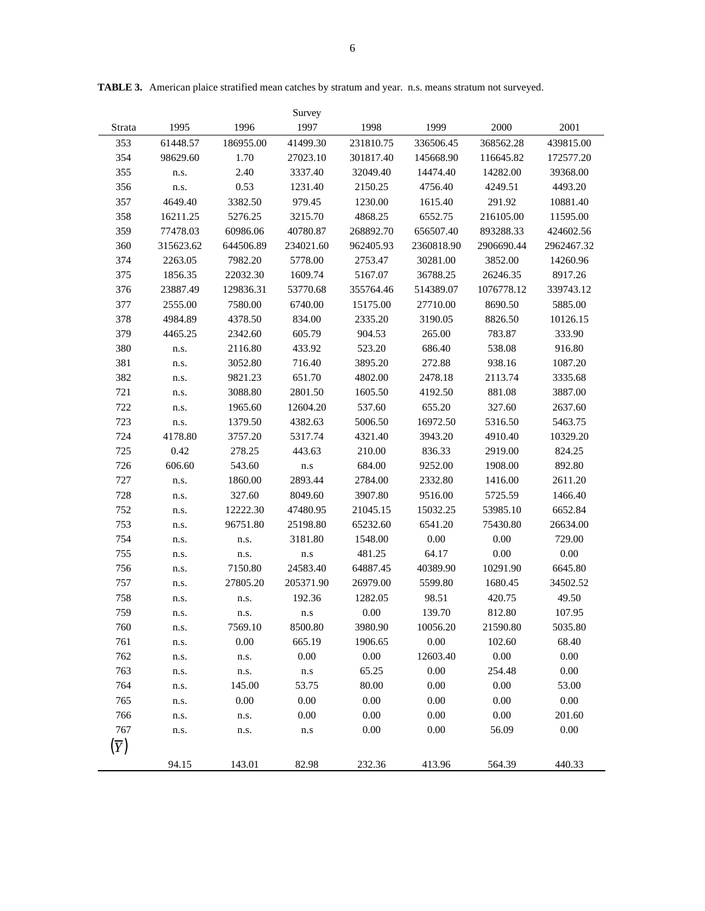|                  |           |           | Survey            |           |            |            |            |
|------------------|-----------|-----------|-------------------|-----------|------------|------------|------------|
| Strata           | 1995      | 1996      | 1997              | 1998      | 1999       | 2000       | 2001       |
| 353              | 61448.57  | 186955.00 | 41499.30          | 231810.75 | 336506.45  | 368562.28  | 439815.00  |
| 354              | 98629.60  | 1.70      | 27023.10          | 301817.40 | 145668.90  | 116645.82  | 172577.20  |
| 355              | n.s.      | 2.40      | 3337.40           | 32049.40  | 14474.40   | 14282.00   | 39368.00   |
| 356              | n.s.      | 0.53      | 1231.40           | 2150.25   | 4756.40    | 4249.51    | 4493.20    |
| 357              | 4649.40   | 3382.50   | 979.45            | 1230.00   | 1615.40    | 291.92     | 10881.40   |
| 358              | 16211.25  | 5276.25   | 3215.70           | 4868.25   | 6552.75    | 216105.00  | 11595.00   |
| 359              | 77478.03  | 60986.06  | 40780.87          | 268892.70 | 656507.40  | 893288.33  | 424602.56  |
| 360              | 315623.62 | 644506.89 | 234021.60         | 962405.93 | 2360818.90 | 2906690.44 | 2962467.32 |
| 374              | 2263.05   | 7982.20   | 5778.00           | 2753.47   | 30281.00   | 3852.00    | 14260.96   |
| 375              | 1856.35   | 22032.30  | 1609.74           | 5167.07   | 36788.25   | 26246.35   | 8917.26    |
| 376              | 23887.49  | 129836.31 | 53770.68          | 355764.46 | 514389.07  | 1076778.12 | 339743.12  |
| 377              | 2555.00   | 7580.00   | 6740.00           | 15175.00  | 27710.00   | 8690.50    | 5885.00    |
| 378              | 4984.89   | 4378.50   | 834.00            | 2335.20   | 3190.05    | 8826.50    | 10126.15   |
| 379              | 4465.25   | 2342.60   | 605.79            | 904.53    | 265.00     | 783.87     | 333.90     |
| 380              | n.s.      | 2116.80   | 433.92            | 523.20    | 686.40     | 538.08     | 916.80     |
| 381              | n.s.      | 3052.80   | 716.40            | 3895.20   | 272.88     | 938.16     | 1087.20    |
| 382              | n.s.      | 9821.23   | 651.70            | 4802.00   | 2478.18    | 2113.74    | 3335.68    |
| 721              | n.s.      | 3088.80   | 2801.50           | 1605.50   | 4192.50    | 881.08     | 3887.00    |
| 722              | n.s.      | 1965.60   | 12604.20          | 537.60    | 655.20     | 327.60     | 2637.60    |
| 723              | n.s.      | 1379.50   | 4382.63           | 5006.50   | 16972.50   | 5316.50    | 5463.75    |
| 724              | 4178.80   | 3757.20   | 5317.74           | 4321.40   | 3943.20    | 4910.40    | 10329.20   |
| 725              | 0.42      | 278.25    | 443.63            | 210.00    | 836.33     | 2919.00    | 824.25     |
| 726              | 606.60    | 543.60    | n.s               | 684.00    | 9252.00    | 1908.00    | 892.80     |
| 727              | n.s.      | 1860.00   | 2893.44           | 2784.00   | 2332.80    | 1416.00    | 2611.20    |
| 728              | n.s.      | 327.60    | 8049.60           | 3907.80   | 9516.00    | 5725.59    | 1466.40    |
| 752              | n.s.      | 12222.30  | 47480.95          | 21045.15  | 15032.25   | 53985.10   | 6652.84    |
| 753              | n.s.      | 96751.80  | 25198.80          | 65232.60  | 6541.20    | 75430.80   | 26634.00   |
| 754              | n.s.      | n.s.      | 3181.80           | 1548.00   | $0.00\,$   | 0.00       | 729.00     |
| 755              | n.s.      | n.s.      | n.s               | 481.25    | 64.17      | 0.00       | 0.00       |
| 756              | n.s.      | 7150.80   | 24583.40          | 64887.45  | 40389.90   | 10291.90   | 6645.80    |
| 757              | n.s.      | 27805.20  | 205371.90         | 26979.00  | 5599.80    | 1680.45    | 34502.52   |
| 758              | n.s.      | n.s.      | 192.36            | 1282.05   | 98.51      | 420.75     | 49.50      |
| 759              | n.s.      | n.s.      | n.s               | 0.00      | 139.70     | 812.80     | 107.95     |
| 760              | n.s.      | 7569.10   | 8500.80           | 3980.90   | 10056.20   | 21590.80   | 5035.80    |
| 761              | n.s.      | 0.00      | 665.19            | 1906.65   | $0.00\,$   | 102.60     | 68.40      |
| 762              | n.s.      | n.s.      | $0.00\,$          | $0.00\,$  | 12603.40   | $0.00\,$   | 0.00       |
| 763              | n.s.      | n.s.      | ${\bf n}.{\bf s}$ | 65.25     | 0.00       | 254.48     | 0.00       |
| 764              | n.s.      | 145.00    | 53.75             | 80.00     | 0.00       | 0.00       | 53.00      |
| 765              | n.s.      | 0.00      | $0.00\,$          | 0.00      | 0.00       | 0.00       | $0.00\,$   |
| 766              | n.s.      | n.s.      | 0.00              | 0.00      | 0.00       | $0.00\,$   | 201.60     |
| 767              | n.s.      | n.s.      | n.s               | 0.00      | $0.00\,$   | 56.09      | 0.00       |
| $(\overline{Y})$ |           |           |                   |           |            |            |            |
|                  | 94.15     | 143.01    | 82.98             | 232.36    | 413.96     | 564.39     | 440.33     |
|                  |           |           |                   |           |            |            |            |

**TABLE 3.** American plaice stratified mean catches by stratum and year. n.s. means stratum not surveyed.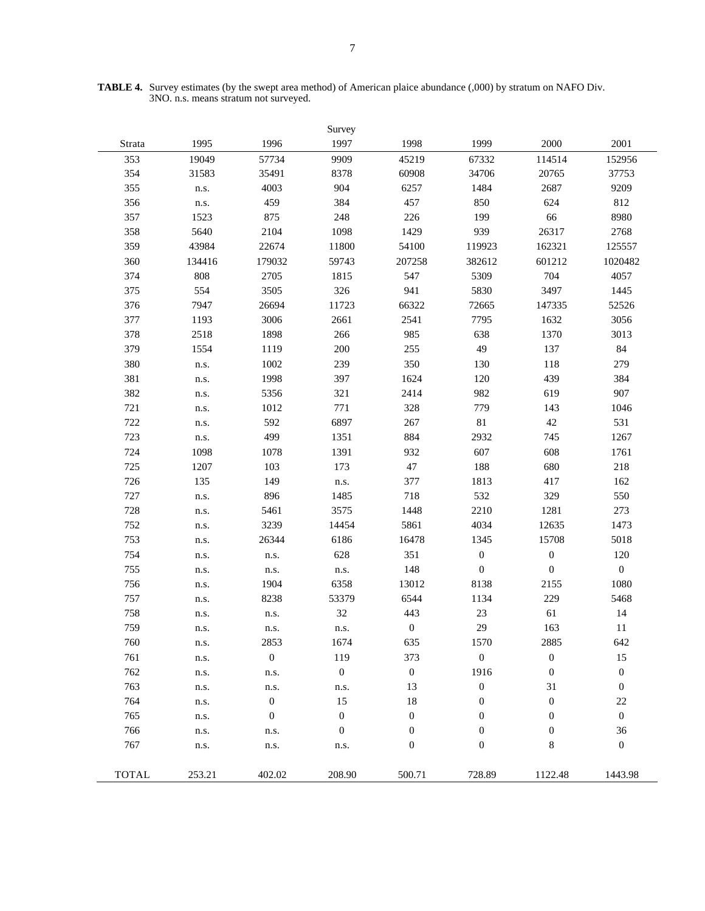|              |        |                  | Survey           |                  |                  |                  |                  |
|--------------|--------|------------------|------------------|------------------|------------------|------------------|------------------|
| Strata       | 1995   | 1996             | 1997             | 1998             | 1999             | 2000             | 2001             |
| 353          | 19049  | 57734            | 9909             | 45219            | 67332            | 114514           | 152956           |
| 354          | 31583  | 35491            | 8378             | 60908            | 34706            | 20765            | 37753            |
| 355          | n.s.   | 4003             | 904              | 6257             | 1484             | 2687             | 9209             |
| 356          | n.s.   | 459              | 384              | 457              | 850              | 624              | 812              |
| 357          | 1523   | 875              | 248              | 226              | 199              | 66               | 8980             |
| 358          | 5640   | 2104             | 1098             | 1429             | 939              | 26317            | 2768             |
| 359          | 43984  | 22674            | 11800            | 54100            | 119923           | 162321           | 125557           |
| 360          | 134416 | 179032           | 59743            | 207258           | 382612           | 601212           | 1020482          |
| 374          | 808    | 2705             | 1815             | 547              | 5309             | 704              | 4057             |
| 375          | 554    | 3505             | 326              | 941              | 5830             | 3497             | 1445             |
| 376          | 7947   | 26694            | 11723            | 66322            | 72665            | 147335           | 52526            |
| 377          | 1193   | 3006             | 2661             | 2541             | 7795             | 1632             | 3056             |
| 378          | 2518   | 1898             | 266              | 985              | 638              | 1370             | 3013             |
| 379          | 1554   | 1119             | 200              | 255              | 49               | 137              | 84               |
| 380          | n.s.   | 1002             | 239              | 350              | 130              | 118              | 279              |
| 381          | n.s.   | 1998             | 397              | 1624             | 120              | 439              | 384              |
| 382          | n.s.   | 5356             | 321              | 2414             | 982              | 619              | 907              |
| 721          | n.s.   | 1012             | 771              | 328              | 779              | 143              | 1046             |
| 722          | n.s.   | 592              | 6897             | 267              | 81               | 42               | 531              |
| 723          | n.s.   | 499              | 1351             | 884              | 2932             | 745              | 1267             |
| 724          | 1098   | 1078             | 1391             | 932              | 607              | 608              | 1761             |
| 725          | 1207   | 103              | 173              | $47\,$           | 188              | 680              | 218              |
| 726          | 135    | 149              | n.s.             | 377              | 1813             | 417              | 162              |
| 727          | n.s.   | 896              | 1485             | 718              | 532              | 329              | 550              |
| 728          | n.s.   | 5461             | 3575             | 1448             | 2210             | 1281             | 273              |
| 752          | n.s.   | 3239             | 14454            | 5861             | 4034             | 12635            | 1473             |
| 753          | n.s.   | 26344            | 6186             | 16478            | 1345             | 15708            | 5018             |
| 754          | n.s.   | n.s.             | 628              | 351              | $\boldsymbol{0}$ | $\boldsymbol{0}$ | 120              |
| 755          | n.s.   | n.s.             | n.s.             | 148              | $\boldsymbol{0}$ | $\boldsymbol{0}$ | $\boldsymbol{0}$ |
| 756          | n.s.   | 1904             | 6358             | 13012            | 8138             | 2155             | 1080             |
| 757          | n.s.   | 8238             | 53379            | 6544             | 1134             | 229              | 5468             |
| 758          | n.s.   | n.s.             | 32               | 443              | $23\,$           | 61               | 14               |
| 759          | n.s.   | n.s.             | n.s.             | $\boldsymbol{0}$ | 29               | 163              | 11               |
| 760          | n.s.   | 2853             | 1674             | 635              | 1570             | 2885             | 642              |
| 761          | n.s.   | $\boldsymbol{0}$ | 119              | 373              | $\boldsymbol{0}$ | $\boldsymbol{0}$ | 15               |
| 762          | n.s.   | n.s.             | $\boldsymbol{0}$ | $\boldsymbol{0}$ | 1916             | $\boldsymbol{0}$ | $\boldsymbol{0}$ |
| 763          | n.s.   | n.s.             | n.s.             | 13               | $\boldsymbol{0}$ | 31               | $\boldsymbol{0}$ |
| 764          | n.s.   | $\boldsymbol{0}$ | 15               | 18               | $\boldsymbol{0}$ | $\boldsymbol{0}$ | 22               |
| 765          | n.s.   | $\boldsymbol{0}$ | $\mathbf{0}$     | $\boldsymbol{0}$ | $\mathbf{0}$     | $\boldsymbol{0}$ | $\boldsymbol{0}$ |
| 766          | n.s.   | n.s.             | $\boldsymbol{0}$ | $\boldsymbol{0}$ | $\mathbf{0}$     | $\boldsymbol{0}$ | 36               |
| 767          | n.s.   | n.s.             | n.s.             | $\boldsymbol{0}$ | $\mathbf{0}$     | 8                | $\boldsymbol{0}$ |
| <b>TOTAL</b> | 253.21 | 402.02           | 208.90           | 500.71           | 728.89           | 1122.48          | 1443.98          |

**TABLE 4.** Survey estimates (by the swept area method) of American plaice abundance (,000) by stratum on NAFO Div. 3NO. n.s. means stratum not surveyed.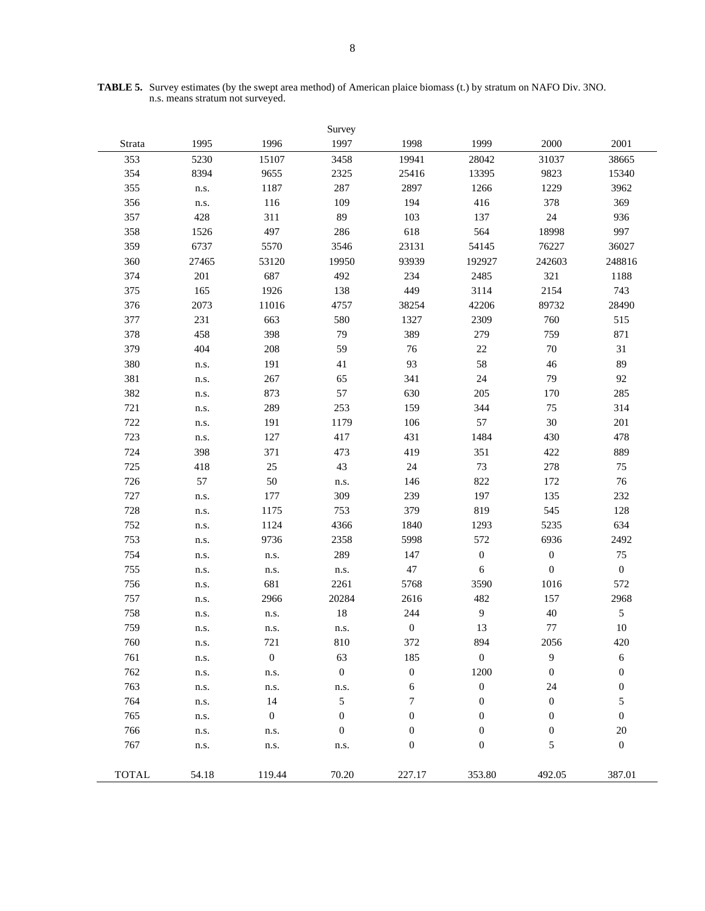|              |       |                  | Survey           |                  |                  |                  |                  |
|--------------|-------|------------------|------------------|------------------|------------------|------------------|------------------|
| Strata       | 1995  | 1996             | 1997             | 1998             | 1999             | 2000             | 2001             |
| 353          | 5230  | 15107            | 3458             | 19941            | 28042            | 31037            | 38665            |
| 354          | 8394  | 9655             | 2325             | 25416            | 13395            | 9823             | 15340            |
| 355          | n.s.  | 1187             | 287              | 2897             | 1266             | 1229             | 3962             |
| 356          | n.s.  | 116              | 109              | 194              | 416              | 378              | 369              |
| 357          | 428   | 311              | 89               | 103              | 137              | 24               | 936              |
| 358          | 1526  | 497              | 286              | 618              | 564              | 18998            | 997              |
| 359          | 6737  | 5570             | 3546             | 23131            | 54145            | 76227            | 36027            |
| 360          | 27465 | 53120            | 19950            | 93939            | 192927           | 242603           | 248816           |
| 374          | 201   | 687              | 492              | 234              | 2485             | 321              | 1188             |
| 375          | 165   | 1926             | 138              | 449              | 3114             | 2154             | 743              |
| 376          | 2073  | 11016            | 4757             | 38254            | 42206            | 89732            | 28490            |
| 377          | 231   | 663              | 580              | 1327             | 2309             | 760              | 515              |
| 378          | 458   | 398              | 79               | 389              | 279              | 759              | 871              |
| 379          | 404   | 208              | 59               | 76               | 22               | 70               | 31               |
| 380          | n.s.  | 191              | 41               | 93               | 58               | 46               | 89               |
| 381          | n.s.  | 267              | 65               | 341              | 24               | 79               | 92               |
| 382          | n.s.  | 873              | 57               | 630              | 205              | 170              | 285              |
| 721          | n.s.  | 289              | 253              | 159              | 344              | 75               | 314              |
| 722          | n.s.  | 191              | 1179             | 106              | 57               | 30               | 201              |
| 723          | n.s.  | 127              | 417              | 431              | 1484             | 430              | 478              |
| 724          | 398   | 371              | 473              | 419              | 351              | 422              | 889              |
| 725          | 418   | $25\,$           | 43               | 24               | 73               | 278              | 75               |
| 726          | 57    | 50               | n.s.             | 146              | 822              | 172              | 76               |
| 727          | n.s.  | 177              | 309              | 239              | 197              | 135              | 232              |
| 728          | n.s.  | 1175             | 753              | 379              | 819              | 545              | 128              |
| 752          | n.s.  | 1124             | 4366             | 1840             | 1293             | 5235             | 634              |
| 753          | n.s.  | 9736             | 2358             | 5998             | 572              | 6936             | 2492             |
| 754          | n.s.  | n.s.             | 289              | 147              | $\boldsymbol{0}$ | $\boldsymbol{0}$ | 75               |
| 755          | n.s.  | n.s.             | n.s.             | 47               | 6                | $\boldsymbol{0}$ | $\boldsymbol{0}$ |
| 756          | n.s.  | 681              | 2261             | 5768             | 3590             | 1016             | 572              |
| 757          | n.s.  | 2966             | 20284            | 2616             | 482              | 157              | 2968             |
| 758          | n.s.  | n.s.             | 18               | 244              | $\overline{9}$   | 40               | 5                |
| 759          | n.s.  | n.s.             | n.s.             | $\boldsymbol{0}$ | 13               | 77               | 10               |
| 760          | n.s.  | 721              | 810              | 372              | 894              | 2056             | 420              |
| 761          | n.s.  | $\boldsymbol{0}$ | 63               | 185              | $\boldsymbol{0}$ | 9                | 6                |
| 762          | n.s.  | n.s.             | $\boldsymbol{0}$ | $\boldsymbol{0}$ | 1200             | $\boldsymbol{0}$ | $\boldsymbol{0}$ |
| 763          | n.s.  | n.s.             | n.s.             | 6                | $\boldsymbol{0}$ | 24               | $\boldsymbol{0}$ |
| 764          | n.s.  | 14               | $\sqrt{5}$       | 7                | $\mathbf{0}$     | $\boldsymbol{0}$ | 5                |
| 765          | n.s.  | $\boldsymbol{0}$ | $\boldsymbol{0}$ | 0                | $\mathbf{0}$     | $\boldsymbol{0}$ | $\boldsymbol{0}$ |
| 766          | n.s.  | n.s.             | $\boldsymbol{0}$ | 0                | $\boldsymbol{0}$ | $\boldsymbol{0}$ | 20               |
| 767          | n.s.  | n.s.             | n.s.             | 0                | $\boldsymbol{0}$ | 5                | $\boldsymbol{0}$ |
| <b>TOTAL</b> | 54.18 | 119.44           | 70.20            | 227.17           | 353.80           | 492.05           | 387.01           |

**TABLE 5.** Survey estimates (by the swept area method) of American plaice biomass (t.) by stratum on NAFO Div. 3NO. n.s. means stratum not surveyed.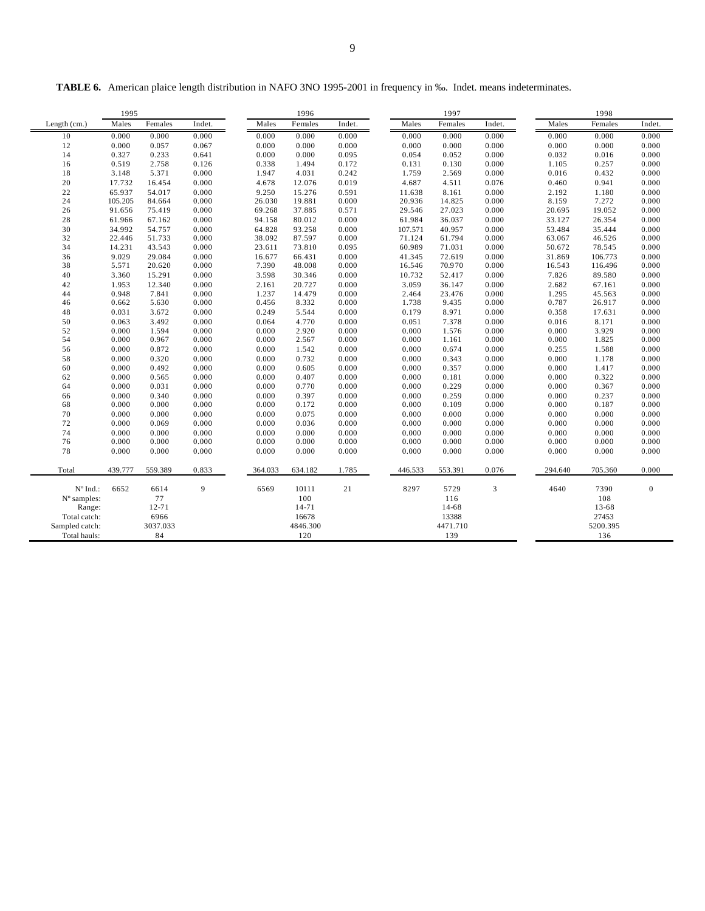| <b>TABLE 6.</b> American plaice length distribution in NAFO 3NO 1995-2001 in frequency in ‰. Indet. means indeterminates. |  |
|---------------------------------------------------------------------------------------------------------------------------|--|
|                                                                                                                           |  |

|                   | 1995    |           |        |         | 1996      |        |         | 1997     |        |         | 1998     |                  |
|-------------------|---------|-----------|--------|---------|-----------|--------|---------|----------|--------|---------|----------|------------------|
| Length (cm.)      | Males   | Females   | Indet. | Males   | Females   | Indet. | Males   | Females  | Indet. | Males   | Females  | Indet.           |
| 10                | 0.000   | 0.000     | 0.000  | 0.000   | 0.000     | 0.000  | 0.000   | 0.000    | 0.000  | 0.000   | 0.000    | 0.000            |
| 12                | 0.000   | 0.057     | 0.067  | 0.000   | 0.000     | 0.000  | 0.000   | 0.000    | 0.000  | 0.000   | 0.000    | 0.000            |
| 14                | 0.327   | 0.233     | 0.641  | 0.000   | 0.000     | 0.095  | 0.054   | 0.052    | 0.000  | 0.032   | 0.016    | 0.000            |
| 16                | 0.519   | 2.758     | 0.126  | 0.338   | 1.494     | 0.172  | 0.131   | 0.130    | 0.000  | 1.105   | 0.257    | 0.000            |
| 18                | 3.148   | 5.371     | 0.000  | 1.947   | 4.031     | 0.242  | 1.759   | 2.569    | 0.000  | 0.016   | 0.432    | 0.000            |
| 20                | 17.732  | 16.454    | 0.000  | 4.678   | 12.076    | 0.019  | 4.687   | 4.511    | 0.076  | 0.460   | 0.941    | 0.000            |
| 22                | 65.937  | 54.017    | 0.000  | 9.250   | 15.276    | 0.591  | 11.638  | 8.161    | 0.000  | 2.192   | 1.180    | 0.000            |
| 24                | 105.205 | 84.664    | 0.000  | 26.030  | 19.881    | 0.000  | 20.936  | 14.825   | 0.000  | 8.159   | 7.272    | 0.000            |
| 26                | 91.656  | 75.419    | 0.000  | 69.268  | 37.885    | 0.571  | 29.546  | 27.023   | 0.000  | 20.695  | 19.052   | 0.000            |
| 28                | 61.966  | 67.162    | 0.000  | 94.158  | 80.012    | 0.000  | 61.984  | 36.037   | 0.000  | 33.127  | 26.354   | 0.000            |
| 30                | 34.992  | 54.757    | 0.000  | 64.828  | 93.258    | 0.000  | 107.571 | 40.957   | 0.000  | 53.484  | 35.444   | 0.000            |
| 32                | 22.446  | 51.733    | 0.000  | 38.092  | 87.597    | 0.000  | 71.124  | 61.794   | 0.000  | 63.067  | 46.526   | 0.000            |
| 34                | 14.231  | 43.543    | 0.000  | 23.611  | 73.810    | 0.095  | 60.989  | 71.031   | 0.000  | 50.672  | 78.545   | 0.000            |
| 36                | 9.029   | 29.084    | 0.000  | 16.677  | 66.431    | 0.000  | 41.345  | 72.619   | 0.000  | 31.869  | 106.773  | 0.000            |
| 38                | 5.571   | 20.620    | 0.000  | 7.390   | 48.008    | 0.000  | 16.546  | 70.970   | 0.000  | 16.543  | 116.496  | 0.000            |
| 40                | 3.360   | 15.291    | 0.000  | 3.598   | 30.346    | 0.000  | 10.732  | 52.417   | 0.000  | 7.826   | 89.580   | 0.000            |
| 42                | 1.953   | 12.340    | 0.000  | 2.161   | 20.727    | 0.000  | 3.059   | 36.147   | 0.000  | 2.682   | 67.161   | 0.000            |
| 44                | 0.948   | 7.841     | 0.000  | 1.237   | 14.479    | 0.000  | 2.464   | 23.476   | 0.000  | 1.295   | 45.563   | 0.000            |
| 46                | 0.662   | 5.630     | 0.000  | 0.456   | 8.332     | 0.000  | 1.738   | 9.435    | 0.000  | 0.787   | 26.917   | 0.000            |
| 48                | 0.031   | 3.672     | 0.000  | 0.249   | 5.544     | 0.000  | 0.179   | 8.971    | 0.000  | 0.358   | 17.631   | 0.000            |
| 50                | 0.063   | 3.492     | 0.000  | 0.064   | 4.770     | 0.000  | 0.051   | 7.378    | 0.000  | 0.016   | 8.171    | 0.000            |
| 52                | 0.000   | 1.594     | 0.000  | 0.000   | 2.920     | 0.000  | 0.000   | 1.576    | 0.000  | 0.000   | 3.929    | 0.000            |
| 54                | 0.000   | 0.967     | 0.000  | 0.000   | 2.567     | 0.000  | 0.000   | 1.161    | 0.000  | 0.000   | 1.825    | 0.000            |
| 56                | 0.000   | 0.872     | 0.000  | 0.000   | 1.542     | 0.000  | 0.000   | 0.674    | 0.000  | 0.255   | 1.588    | 0.000            |
| 58                | 0.000   | 0.320     | 0.000  | 0.000   | 0.732     | 0.000  | 0.000   | 0.343    | 0.000  | 0.000   | 1.178    | 0.000            |
| 60                | 0.000   | 0.492     | 0.000  | 0.000   | 0.605     | 0.000  | 0.000   | 0.357    | 0.000  | 0.000   | 1.417    | 0.000            |
| 62                | 0.000   | 0.565     | 0.000  | 0.000   | 0.407     | 0.000  | 0.000   | 0.181    | 0.000  | 0.000   | 0.322    | 0.000            |
| 64                | 0.000   | 0.031     | 0.000  | 0.000   | 0.770     | 0.000  | 0.000   | 0.229    | 0.000  | 0.000   | 0.367    | 0.000            |
| 66                | 0.000   | 0.340     | 0.000  | 0.000   | 0.397     | 0.000  | 0.000   | 0.259    | 0.000  | 0.000   | 0.237    | 0.000            |
| 68                | 0.000   | 0.000     | 0.000  | 0.000   | 0.172     | 0.000  | 0.000   | 0.109    | 0.000  | 0.000   | 0.187    | 0.000            |
| 70                | 0.000   | 0.000     | 0.000  | 0.000   | 0.075     | 0.000  | 0.000   | 0.000    | 0.000  | 0.000   | 0.000    | 0.000            |
| 72                | 0.000   | 0.069     | 0.000  | 0.000   | 0.036     | 0.000  | 0.000   | 0.000    | 0.000  | 0.000   | 0.000    | 0.000            |
| 74                | 0.000   | 0.000     | 0.000  | 0.000   | 0.000     | 0.000  | 0.000   | 0.000    | 0.000  | 0.000   | 0.000    | 0.000            |
| 76                | 0.000   | 0.000     | 0.000  | 0.000   | 0.000     | 0.000  | 0.000   | 0.000    | 0.000  | 0.000   | 0.000    | 0.000            |
| 78                | 0.000   | 0.000     | 0.000  | 0.000   | 0.000     | 0.000  | 0.000   | 0.000    | 0.000  | 0.000   | 0.000    | 0.000            |
| Total             | 439.777 | 559.389   | 0.833  | 364.033 | 634.182   | 1.785  | 446.533 | 553.391  | 0.076  | 294.640 | 705.360  | 0.000            |
| $N^{\circ}$ Ind.: | 6652    | 6614      | 9      | 6569    | 10111     | 21     | 8297    | 5729     | 3      | 4640    | 7390     | $\boldsymbol{0}$ |
| N° samples:       |         | 77        |        |         | 100       |        |         | 116      |        |         | 108      |                  |
| Range:            |         | $12 - 71$ |        |         | $14 - 71$ |        |         | 14-68    |        |         | 13-68    |                  |
| Total catch:      |         | 6966      |        |         | 16678     |        |         | 13388    |        |         | 27453    |                  |
| Sampled catch:    |         | 3037.033  |        |         | 4846.300  |        |         | 4471.710 |        |         | 5200.395 |                  |
| Total hauls:      |         | 84        |        |         | 120       |        |         | 139      |        |         | 136      |                  |
|                   |         |           |        |         |           |        |         |          |        |         |          |                  |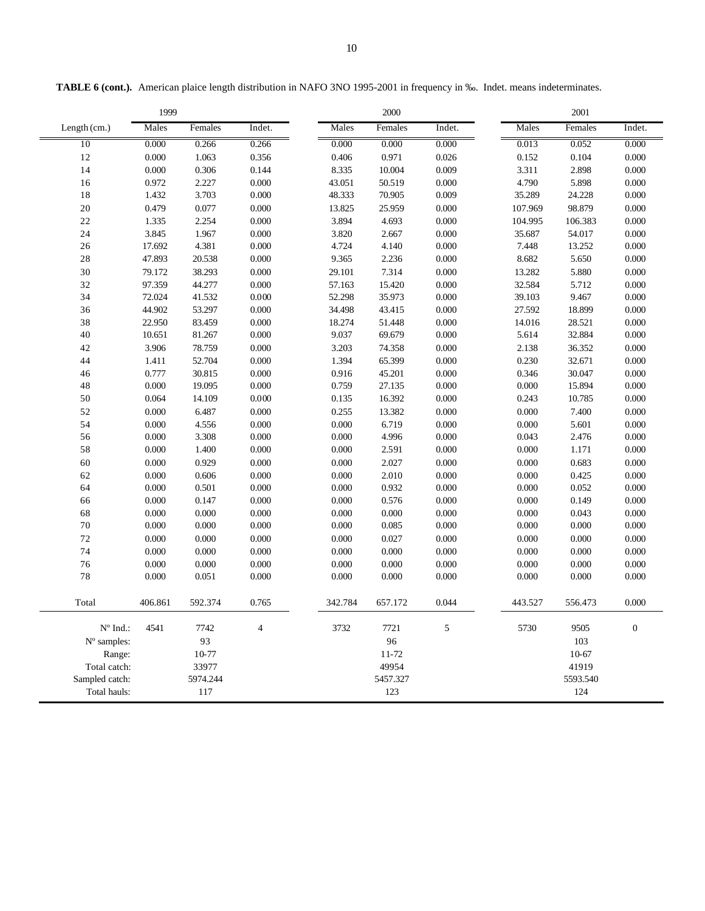|                   | 1999    |          |        |         | 2000      |        |         | 2001     |                  |
|-------------------|---------|----------|--------|---------|-----------|--------|---------|----------|------------------|
| Length (cm.)      | Males   | Females  | Indet. | Males   | Females   | Indet. | Males   | Females  | Indet.           |
| 10                | 0.000   | 0.266    | 0.266  | 0.000   | 0.000     | 0.000  | 0.013   | 0.052    | 0.000            |
| 12                | 0.000   | 1.063    | 0.356  | 0.406   | 0.971     | 0.026  | 0.152   | 0.104    | 0.000            |
| 14                | 0.000   | 0.306    | 0.144  | 8.335   | 10.004    | 0.009  | 3.311   | 2.898    | 0.000            |
| 16                | 0.972   | 2.227    | 0.000  | 43.051  | 50.519    | 0.000  | 4.790   | 5.898    | 0.000            |
| 18                | 1.432   | 3.703    | 0.000  | 48.333  | 70.905    | 0.009  | 35.289  | 24.228   | 0.000            |
| 20                | 0.479   | 0.077    | 0.000  | 13.825  | 25.959    | 0.000  | 107.969 | 98.879   | 0.000            |
| 22                | 1.335   | 2.254    | 0.000  | 3.894   | 4.693     | 0.000  | 104.995 | 106.383  | 0.000            |
| 24                | 3.845   | 1.967    | 0.000  | 3.820   | 2.667     | 0.000  | 35.687  | 54.017   | 0.000            |
| 26                | 17.692  | 4.381    | 0.000  | 4.724   | 4.140     | 0.000  | 7.448   | 13.252   | 0.000            |
| 28                | 47.893  | 20.538   | 0.000  | 9.365   | 2.236     | 0.000  | 8.682   | 5.650    | 0.000            |
| 30                | 79.172  | 38.293   | 0.000  | 29.101  | 7.314     | 0.000  | 13.282  | 5.880    | 0.000            |
| 32                | 97.359  | 44.277   | 0.000  | 57.163  | 15.420    | 0.000  | 32.584  | 5.712    | 0.000            |
| 34                | 72.024  | 41.532   | 0.000  | 52.298  | 35.973    | 0.000  | 39.103  | 9.467    | 0.000            |
| 36                | 44.902  | 53.297   | 0.000  | 34.498  | 43.415    | 0.000  | 27.592  | 18.899   | 0.000            |
| 38                | 22.950  | 83.459   | 0.000  | 18.274  | 51.448    | 0.000  | 14.016  | 28.521   | 0.000            |
| 40                | 10.651  | 81.267   | 0.000  | 9.037   | 69.679    | 0.000  | 5.614   | 32.884   | 0.000            |
| 42                | 3.906   | 78.759   | 0.000  | 3.203   | 74.358    | 0.000  | 2.138   | 36.352   | 0.000            |
| 44                | 1.411   | 52.704   | 0.000  | 1.394   | 65.399    | 0.000  | 0.230   | 32.671   | 0.000            |
| 46                | 0.777   | 30.815   | 0.000  | 0.916   | 45.201    | 0.000  | 0.346   | 30.047   | 0.000            |
| 48                | 0.000   | 19.095   | 0.000  | 0.759   | 27.135    | 0.000  | 0.000   | 15.894   | $0.000\,$        |
| 50                | 0.064   | 14.109   | 0.000  | 0.135   | 16.392    | 0.000  | 0.243   | 10.785   | 0.000            |
| 52                | 0.000   | 6.487    | 0.000  | 0.255   | 13.382    | 0.000  | 0.000   | 7.400    | 0.000            |
| 54                | 0.000   | 4.556    | 0.000  | 0.000   | 6.719     | 0.000  | 0.000   | 5.601    | 0.000            |
| 56                | 0.000   | 3.308    | 0.000  | 0.000   | 4.996     | 0.000  | 0.043   | 2.476    | 0.000            |
| 58                | 0.000   | 1.400    | 0.000  | 0.000   | 2.591     | 0.000  | 0.000   | 1.171    | 0.000            |
| 60                | 0.000   | 0.929    | 0.000  | 0.000   | 2.027     | 0.000  | 0.000   | 0.683    | 0.000            |
| 62                | 0.000   | 0.606    | 0.000  | 0.000   | 2.010     | 0.000  | 0.000   | 0.425    | 0.000            |
| 64                | 0.000   | 0.501    | 0.000  | 0.000   | 0.932     | 0.000  | 0.000   | 0.052    | 0.000            |
| 66                | 0.000   | 0.147    | 0.000  | 0.000   | 0.576     | 0.000  | 0.000   | 0.149    | 0.000            |
| 68                | 0.000   | 0.000    | 0.000  | 0.000   | 0.000     | 0.000  | 0.000   | 0.043    | 0.000            |
| 70                | 0.000   | 0.000    | 0.000  | 0.000   | 0.085     | 0.000  | 0.000   | 0.000    | 0.000            |
| 72                | 0.000   | 0.000    | 0.000  | 0.000   | 0.027     | 0.000  | 0.000   | 0.000    | 0.000            |
| 74                | 0.000   | 0.000    | 0.000  | 0.000   | 0.000     | 0.000  | 0.000   | 0.000    | 0.000            |
| 76                | 0.000   | 0.000    | 0.000  | 0.000   | 0.000     | 0.000  | 0.000   | 0.000    | 0.000            |
| 78                | 0.000   | 0.051    | 0.000  | 0.000   | 0.000     | 0.000  | 0.000   | 0.000    | 0.000            |
|                   |         |          |        |         |           |        |         |          |                  |
| Total             | 406.861 | 592.374  | 0.765  | 342.784 | 657.172   | 0.044  | 443.527 | 556.473  | 0.000            |
| $N^{\circ}$ Ind.: | 4541    | 7742     | 4      | 3732    | 7721      | 5      | 5730    | 9505     | $\boldsymbol{0}$ |
| $No$ samples:     |         | 93       |        |         | 96        |        |         | 103      |                  |
| Range:            |         | 10-77    |        |         | $11 - 72$ |        |         | 10-67    |                  |
| Total catch:      |         | 33977    |        |         | 49954     |        |         | 41919    |                  |
| Sampled catch:    |         | 5974.244 |        |         | 5457.327  |        |         | 5593.540 |                  |
| Total hauls:      |         | 117      |        |         | 123       |        |         | 124      |                  |

**TABLE 6 (cont.).** American plaice length distribution in NAFO 3NO 1995-2001 in frequency in ‰. Indet. means indeterminates.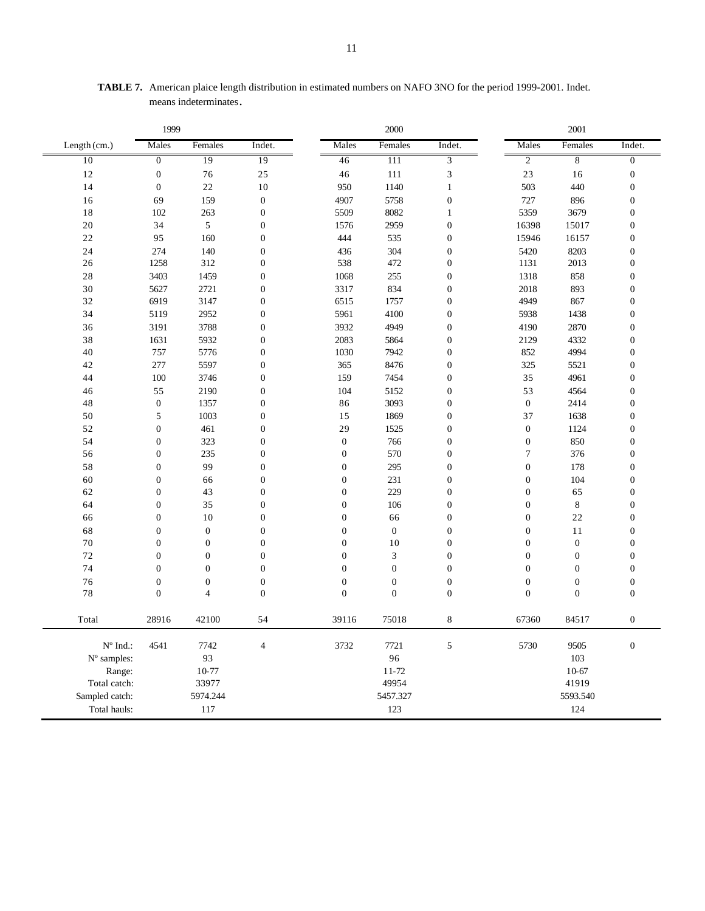| Males<br>Females<br>Indet.<br>Males<br>Females<br>Indet.<br>Males<br>Females<br>Length (cm.)<br>$\overline{2}$<br>10<br>$\overline{0}$<br>19<br>19<br>46<br>111<br>3<br>$\overline{8}$<br>$\boldsymbol{0}$<br>23<br>12<br>76<br>25<br>46<br>111<br>3<br>16<br>14<br>$\boldsymbol{0}$<br>503<br>22<br>10<br>950<br>1140<br>$\mathbf{1}$<br>440<br>159<br>$\boldsymbol{0}$<br>4907<br>5758<br>$\boldsymbol{0}$<br>727<br>896<br>16<br>69<br>8082<br>5359<br>18<br>102<br>263<br>$\boldsymbol{0}$<br>5509<br>3679<br>1<br>5<br>$\boldsymbol{0}$<br>$\boldsymbol{0}$<br>20<br>34<br>2959<br>16398<br>15017<br>1576<br>22<br>95<br>160<br>$\boldsymbol{0}$<br>444<br>535<br>$\boldsymbol{0}$<br>15946<br>16157<br>274<br>140<br>$\boldsymbol{0}$<br>304<br>$\boldsymbol{0}$<br>8203<br>24<br>436<br>5420<br>$\boldsymbol{0}$<br>2013<br>26<br>1258<br>312<br>538<br>472<br>$\boldsymbol{0}$<br>1131<br>28<br>3403<br>858<br>1459<br>$\boldsymbol{0}$<br>1068<br>255<br>$\boldsymbol{0}$<br>1318<br>30<br>5627<br>2721<br>$\boldsymbol{0}$<br>834<br>893<br>3317<br>$\boldsymbol{0}$<br>2018<br>$\boldsymbol{0}$<br>32<br>6919<br>3147<br>1757<br>$\boldsymbol{0}$<br>4949<br>867<br>6515<br>$\boldsymbol{0}$<br>34<br>5119<br>2952<br>5961<br>4100<br>$\boldsymbol{0}$<br>5938<br>1438<br>3191<br>3788<br>$\boldsymbol{0}$<br>3932<br>4949<br>2870<br>36<br>$\overline{0}$<br>4190<br>38<br>1631<br>5932<br>$\boldsymbol{0}$<br>2083<br>$\overline{0}$<br>4332<br>5864<br>2129<br>40<br>5776<br>7942<br>4994<br>757<br>$\boldsymbol{0}$<br>1030<br>$\boldsymbol{0}$<br>852<br>277<br>5597<br>$\boldsymbol{0}$<br>$\boldsymbol{0}$<br>42<br>365<br>8476<br>325<br>5521<br>44<br>3746<br>$\boldsymbol{0}$<br>7454<br>$\boldsymbol{0}$<br>35<br>4961<br>100<br>159<br>55<br>2190<br>$\boldsymbol{0}$<br>104<br>5152<br>$\boldsymbol{0}$<br>53<br>4564<br>46<br>$\boldsymbol{0}$<br>1357<br>$\boldsymbol{0}$<br>3093<br>$\boldsymbol{0}$<br>$\boldsymbol{0}$<br>48<br>86<br>2414<br>50<br>5<br>1003<br>$\boldsymbol{0}$<br>15<br>1869<br>$\boldsymbol{0}$<br>37<br>1638<br>$\boldsymbol{0}$<br>52<br>461<br>$\boldsymbol{0}$<br>29<br>$\boldsymbol{0}$<br>$\boldsymbol{0}$<br>1525<br>1124<br>54<br>$\boldsymbol{0}$<br>323<br>$\boldsymbol{0}$<br>$\boldsymbol{0}$<br>$\boldsymbol{0}$<br>$\boldsymbol{0}$<br>850<br>766<br>$\boldsymbol{0}$<br>235<br>$\boldsymbol{0}$<br>$\boldsymbol{7}$<br>56<br>$\boldsymbol{0}$<br>570<br>$\boldsymbol{0}$<br>376 | 2001             |  |  |  |
|-------------------------------------------------------------------------------------------------------------------------------------------------------------------------------------------------------------------------------------------------------------------------------------------------------------------------------------------------------------------------------------------------------------------------------------------------------------------------------------------------------------------------------------------------------------------------------------------------------------------------------------------------------------------------------------------------------------------------------------------------------------------------------------------------------------------------------------------------------------------------------------------------------------------------------------------------------------------------------------------------------------------------------------------------------------------------------------------------------------------------------------------------------------------------------------------------------------------------------------------------------------------------------------------------------------------------------------------------------------------------------------------------------------------------------------------------------------------------------------------------------------------------------------------------------------------------------------------------------------------------------------------------------------------------------------------------------------------------------------------------------------------------------------------------------------------------------------------------------------------------------------------------------------------------------------------------------------------------------------------------------------------------------------------------------------------------------------------------------------------------------------------------------------------------------------------------------------------------------------------------------------------------------------------------------------------------------------------------------------------------------------------------------------------------------------------------|------------------|--|--|--|
|                                                                                                                                                                                                                                                                                                                                                                                                                                                                                                                                                                                                                                                                                                                                                                                                                                                                                                                                                                                                                                                                                                                                                                                                                                                                                                                                                                                                                                                                                                                                                                                                                                                                                                                                                                                                                                                                                                                                                                                                                                                                                                                                                                                                                                                                                                                                                                                                                                                 | Indet.           |  |  |  |
|                                                                                                                                                                                                                                                                                                                                                                                                                                                                                                                                                                                                                                                                                                                                                                                                                                                                                                                                                                                                                                                                                                                                                                                                                                                                                                                                                                                                                                                                                                                                                                                                                                                                                                                                                                                                                                                                                                                                                                                                                                                                                                                                                                                                                                                                                                                                                                                                                                                 | $\overline{0}$   |  |  |  |
|                                                                                                                                                                                                                                                                                                                                                                                                                                                                                                                                                                                                                                                                                                                                                                                                                                                                                                                                                                                                                                                                                                                                                                                                                                                                                                                                                                                                                                                                                                                                                                                                                                                                                                                                                                                                                                                                                                                                                                                                                                                                                                                                                                                                                                                                                                                                                                                                                                                 | $\boldsymbol{0}$ |  |  |  |
|                                                                                                                                                                                                                                                                                                                                                                                                                                                                                                                                                                                                                                                                                                                                                                                                                                                                                                                                                                                                                                                                                                                                                                                                                                                                                                                                                                                                                                                                                                                                                                                                                                                                                                                                                                                                                                                                                                                                                                                                                                                                                                                                                                                                                                                                                                                                                                                                                                                 | $\boldsymbol{0}$ |  |  |  |
|                                                                                                                                                                                                                                                                                                                                                                                                                                                                                                                                                                                                                                                                                                                                                                                                                                                                                                                                                                                                                                                                                                                                                                                                                                                                                                                                                                                                                                                                                                                                                                                                                                                                                                                                                                                                                                                                                                                                                                                                                                                                                                                                                                                                                                                                                                                                                                                                                                                 | $\boldsymbol{0}$ |  |  |  |
|                                                                                                                                                                                                                                                                                                                                                                                                                                                                                                                                                                                                                                                                                                                                                                                                                                                                                                                                                                                                                                                                                                                                                                                                                                                                                                                                                                                                                                                                                                                                                                                                                                                                                                                                                                                                                                                                                                                                                                                                                                                                                                                                                                                                                                                                                                                                                                                                                                                 | $\boldsymbol{0}$ |  |  |  |
|                                                                                                                                                                                                                                                                                                                                                                                                                                                                                                                                                                                                                                                                                                                                                                                                                                                                                                                                                                                                                                                                                                                                                                                                                                                                                                                                                                                                                                                                                                                                                                                                                                                                                                                                                                                                                                                                                                                                                                                                                                                                                                                                                                                                                                                                                                                                                                                                                                                 | $\boldsymbol{0}$ |  |  |  |
|                                                                                                                                                                                                                                                                                                                                                                                                                                                                                                                                                                                                                                                                                                                                                                                                                                                                                                                                                                                                                                                                                                                                                                                                                                                                                                                                                                                                                                                                                                                                                                                                                                                                                                                                                                                                                                                                                                                                                                                                                                                                                                                                                                                                                                                                                                                                                                                                                                                 | $\boldsymbol{0}$ |  |  |  |
|                                                                                                                                                                                                                                                                                                                                                                                                                                                                                                                                                                                                                                                                                                                                                                                                                                                                                                                                                                                                                                                                                                                                                                                                                                                                                                                                                                                                                                                                                                                                                                                                                                                                                                                                                                                                                                                                                                                                                                                                                                                                                                                                                                                                                                                                                                                                                                                                                                                 | $\boldsymbol{0}$ |  |  |  |
|                                                                                                                                                                                                                                                                                                                                                                                                                                                                                                                                                                                                                                                                                                                                                                                                                                                                                                                                                                                                                                                                                                                                                                                                                                                                                                                                                                                                                                                                                                                                                                                                                                                                                                                                                                                                                                                                                                                                                                                                                                                                                                                                                                                                                                                                                                                                                                                                                                                 | $\boldsymbol{0}$ |  |  |  |
|                                                                                                                                                                                                                                                                                                                                                                                                                                                                                                                                                                                                                                                                                                                                                                                                                                                                                                                                                                                                                                                                                                                                                                                                                                                                                                                                                                                                                                                                                                                                                                                                                                                                                                                                                                                                                                                                                                                                                                                                                                                                                                                                                                                                                                                                                                                                                                                                                                                 | $\boldsymbol{0}$ |  |  |  |
|                                                                                                                                                                                                                                                                                                                                                                                                                                                                                                                                                                                                                                                                                                                                                                                                                                                                                                                                                                                                                                                                                                                                                                                                                                                                                                                                                                                                                                                                                                                                                                                                                                                                                                                                                                                                                                                                                                                                                                                                                                                                                                                                                                                                                                                                                                                                                                                                                                                 | $\boldsymbol{0}$ |  |  |  |
|                                                                                                                                                                                                                                                                                                                                                                                                                                                                                                                                                                                                                                                                                                                                                                                                                                                                                                                                                                                                                                                                                                                                                                                                                                                                                                                                                                                                                                                                                                                                                                                                                                                                                                                                                                                                                                                                                                                                                                                                                                                                                                                                                                                                                                                                                                                                                                                                                                                 | $\boldsymbol{0}$ |  |  |  |
|                                                                                                                                                                                                                                                                                                                                                                                                                                                                                                                                                                                                                                                                                                                                                                                                                                                                                                                                                                                                                                                                                                                                                                                                                                                                                                                                                                                                                                                                                                                                                                                                                                                                                                                                                                                                                                                                                                                                                                                                                                                                                                                                                                                                                                                                                                                                                                                                                                                 | $\boldsymbol{0}$ |  |  |  |
|                                                                                                                                                                                                                                                                                                                                                                                                                                                                                                                                                                                                                                                                                                                                                                                                                                                                                                                                                                                                                                                                                                                                                                                                                                                                                                                                                                                                                                                                                                                                                                                                                                                                                                                                                                                                                                                                                                                                                                                                                                                                                                                                                                                                                                                                                                                                                                                                                                                 | $\overline{0}$   |  |  |  |
|                                                                                                                                                                                                                                                                                                                                                                                                                                                                                                                                                                                                                                                                                                                                                                                                                                                                                                                                                                                                                                                                                                                                                                                                                                                                                                                                                                                                                                                                                                                                                                                                                                                                                                                                                                                                                                                                                                                                                                                                                                                                                                                                                                                                                                                                                                                                                                                                                                                 | $\boldsymbol{0}$ |  |  |  |
|                                                                                                                                                                                                                                                                                                                                                                                                                                                                                                                                                                                                                                                                                                                                                                                                                                                                                                                                                                                                                                                                                                                                                                                                                                                                                                                                                                                                                                                                                                                                                                                                                                                                                                                                                                                                                                                                                                                                                                                                                                                                                                                                                                                                                                                                                                                                                                                                                                                 | $\boldsymbol{0}$ |  |  |  |
|                                                                                                                                                                                                                                                                                                                                                                                                                                                                                                                                                                                                                                                                                                                                                                                                                                                                                                                                                                                                                                                                                                                                                                                                                                                                                                                                                                                                                                                                                                                                                                                                                                                                                                                                                                                                                                                                                                                                                                                                                                                                                                                                                                                                                                                                                                                                                                                                                                                 | $\boldsymbol{0}$ |  |  |  |
|                                                                                                                                                                                                                                                                                                                                                                                                                                                                                                                                                                                                                                                                                                                                                                                                                                                                                                                                                                                                                                                                                                                                                                                                                                                                                                                                                                                                                                                                                                                                                                                                                                                                                                                                                                                                                                                                                                                                                                                                                                                                                                                                                                                                                                                                                                                                                                                                                                                 | $\boldsymbol{0}$ |  |  |  |
|                                                                                                                                                                                                                                                                                                                                                                                                                                                                                                                                                                                                                                                                                                                                                                                                                                                                                                                                                                                                                                                                                                                                                                                                                                                                                                                                                                                                                                                                                                                                                                                                                                                                                                                                                                                                                                                                                                                                                                                                                                                                                                                                                                                                                                                                                                                                                                                                                                                 | $\boldsymbol{0}$ |  |  |  |
|                                                                                                                                                                                                                                                                                                                                                                                                                                                                                                                                                                                                                                                                                                                                                                                                                                                                                                                                                                                                                                                                                                                                                                                                                                                                                                                                                                                                                                                                                                                                                                                                                                                                                                                                                                                                                                                                                                                                                                                                                                                                                                                                                                                                                                                                                                                                                                                                                                                 | $\boldsymbol{0}$ |  |  |  |
|                                                                                                                                                                                                                                                                                                                                                                                                                                                                                                                                                                                                                                                                                                                                                                                                                                                                                                                                                                                                                                                                                                                                                                                                                                                                                                                                                                                                                                                                                                                                                                                                                                                                                                                                                                                                                                                                                                                                                                                                                                                                                                                                                                                                                                                                                                                                                                                                                                                 | $\boldsymbol{0}$ |  |  |  |
|                                                                                                                                                                                                                                                                                                                                                                                                                                                                                                                                                                                                                                                                                                                                                                                                                                                                                                                                                                                                                                                                                                                                                                                                                                                                                                                                                                                                                                                                                                                                                                                                                                                                                                                                                                                                                                                                                                                                                                                                                                                                                                                                                                                                                                                                                                                                                                                                                                                 | $\boldsymbol{0}$ |  |  |  |
|                                                                                                                                                                                                                                                                                                                                                                                                                                                                                                                                                                                                                                                                                                                                                                                                                                                                                                                                                                                                                                                                                                                                                                                                                                                                                                                                                                                                                                                                                                                                                                                                                                                                                                                                                                                                                                                                                                                                                                                                                                                                                                                                                                                                                                                                                                                                                                                                                                                 | $\boldsymbol{0}$ |  |  |  |
|                                                                                                                                                                                                                                                                                                                                                                                                                                                                                                                                                                                                                                                                                                                                                                                                                                                                                                                                                                                                                                                                                                                                                                                                                                                                                                                                                                                                                                                                                                                                                                                                                                                                                                                                                                                                                                                                                                                                                                                                                                                                                                                                                                                                                                                                                                                                                                                                                                                 | $\boldsymbol{0}$ |  |  |  |
| 58<br>$\boldsymbol{0}$<br>99<br>$\boldsymbol{0}$<br>$\boldsymbol{0}$<br>$\boldsymbol{0}$<br>$\boldsymbol{0}$<br>178<br>295                                                                                                                                                                                                                                                                                                                                                                                                                                                                                                                                                                                                                                                                                                                                                                                                                                                                                                                                                                                                                                                                                                                                                                                                                                                                                                                                                                                                                                                                                                                                                                                                                                                                                                                                                                                                                                                                                                                                                                                                                                                                                                                                                                                                                                                                                                                      | $\boldsymbol{0}$ |  |  |  |
| 60<br>$\boldsymbol{0}$<br>$\boldsymbol{0}$<br>$\boldsymbol{0}$<br>231<br>$\boldsymbol{0}$<br>$\boldsymbol{0}$<br>104<br>66                                                                                                                                                                                                                                                                                                                                                                                                                                                                                                                                                                                                                                                                                                                                                                                                                                                                                                                                                                                                                                                                                                                                                                                                                                                                                                                                                                                                                                                                                                                                                                                                                                                                                                                                                                                                                                                                                                                                                                                                                                                                                                                                                                                                                                                                                                                      | $\boldsymbol{0}$ |  |  |  |
| 62<br>$\boldsymbol{0}$<br>$\boldsymbol{0}$<br>$\boldsymbol{0}$<br>229<br>$\boldsymbol{0}$<br>$\boldsymbol{0}$<br>43<br>65                                                                                                                                                                                                                                                                                                                                                                                                                                                                                                                                                                                                                                                                                                                                                                                                                                                                                                                                                                                                                                                                                                                                                                                                                                                                                                                                                                                                                                                                                                                                                                                                                                                                                                                                                                                                                                                                                                                                                                                                                                                                                                                                                                                                                                                                                                                       | $\boldsymbol{0}$ |  |  |  |
| $\bf 8$<br>64<br>$\boldsymbol{0}$<br>$\boldsymbol{0}$<br>$\boldsymbol{0}$<br>$\boldsymbol{0}$<br>$\boldsymbol{0}$<br>35<br>106                                                                                                                                                                                                                                                                                                                                                                                                                                                                                                                                                                                                                                                                                                                                                                                                                                                                                                                                                                                                                                                                                                                                                                                                                                                                                                                                                                                                                                                                                                                                                                                                                                                                                                                                                                                                                                                                                                                                                                                                                                                                                                                                                                                                                                                                                                                  | $\boldsymbol{0}$ |  |  |  |
| $\boldsymbol{0}$<br>10<br>$\boldsymbol{0}$<br>$\boldsymbol{0}$<br>$\boldsymbol{0}$<br>$\boldsymbol{0}$<br>22<br>66<br>66                                                                                                                                                                                                                                                                                                                                                                                                                                                                                                                                                                                                                                                                                                                                                                                                                                                                                                                                                                                                                                                                                                                                                                                                                                                                                                                                                                                                                                                                                                                                                                                                                                                                                                                                                                                                                                                                                                                                                                                                                                                                                                                                                                                                                                                                                                                        | $\boldsymbol{0}$ |  |  |  |
| $\boldsymbol{0}$<br>$\boldsymbol{0}$<br>68<br>$\boldsymbol{0}$<br>$\boldsymbol{0}$<br>$\boldsymbol{0}$<br>$\boldsymbol{0}$<br>$\boldsymbol{0}$<br>11                                                                                                                                                                                                                                                                                                                                                                                                                                                                                                                                                                                                                                                                                                                                                                                                                                                                                                                                                                                                                                                                                                                                                                                                                                                                                                                                                                                                                                                                                                                                                                                                                                                                                                                                                                                                                                                                                                                                                                                                                                                                                                                                                                                                                                                                                            | $\boldsymbol{0}$ |  |  |  |
| $\boldsymbol{0}$<br>$\boldsymbol{0}$<br>$70\,$<br>$\boldsymbol{0}$<br>$\boldsymbol{0}$<br>$\boldsymbol{0}$<br>10<br>$\boldsymbol{0}$<br>$\boldsymbol{0}$                                                                                                                                                                                                                                                                                                                                                                                                                                                                                                                                                                                                                                                                                                                                                                                                                                                                                                                                                                                                                                                                                                                                                                                                                                                                                                                                                                                                                                                                                                                                                                                                                                                                                                                                                                                                                                                                                                                                                                                                                                                                                                                                                                                                                                                                                        | $\boldsymbol{0}$ |  |  |  |
| 72<br>$\boldsymbol{0}$<br>$\boldsymbol{0}$<br>$\boldsymbol{0}$<br>$\boldsymbol{0}$<br>3<br>$\boldsymbol{0}$<br>$\boldsymbol{0}$<br>$\boldsymbol{0}$                                                                                                                                                                                                                                                                                                                                                                                                                                                                                                                                                                                                                                                                                                                                                                                                                                                                                                                                                                                                                                                                                                                                                                                                                                                                                                                                                                                                                                                                                                                                                                                                                                                                                                                                                                                                                                                                                                                                                                                                                                                                                                                                                                                                                                                                                             | $\boldsymbol{0}$ |  |  |  |
| $\boldsymbol{0}$<br>$\boldsymbol{0}$<br>$\boldsymbol{0}$<br>$\boldsymbol{0}$<br>$\boldsymbol{0}$<br>$\boldsymbol{0}$<br>$\boldsymbol{0}$<br>74<br>$\overline{0}$                                                                                                                                                                                                                                                                                                                                                                                                                                                                                                                                                                                                                                                                                                                                                                                                                                                                                                                                                                                                                                                                                                                                                                                                                                                                                                                                                                                                                                                                                                                                                                                                                                                                                                                                                                                                                                                                                                                                                                                                                                                                                                                                                                                                                                                                                | $\boldsymbol{0}$ |  |  |  |
| $\boldsymbol{0}$<br>$\boldsymbol{0}$<br>76<br>$\boldsymbol{0}$<br>$\boldsymbol{0}$<br>$\boldsymbol{0}$<br>$\boldsymbol{0}$<br>$\boldsymbol{0}$<br>$\boldsymbol{0}$                                                                                                                                                                                                                                                                                                                                                                                                                                                                                                                                                                                                                                                                                                                                                                                                                                                                                                                                                                                                                                                                                                                                                                                                                                                                                                                                                                                                                                                                                                                                                                                                                                                                                                                                                                                                                                                                                                                                                                                                                                                                                                                                                                                                                                                                              | $\boldsymbol{0}$ |  |  |  |
| 78<br>$\boldsymbol{0}$<br>$\overline{4}$<br>$\boldsymbol{0}$<br>$\boldsymbol{0}$<br>$\boldsymbol{0}$<br>$\boldsymbol{0}$<br>$\boldsymbol{0}$<br>$\boldsymbol{0}$                                                                                                                                                                                                                                                                                                                                                                                                                                                                                                                                                                                                                                                                                                                                                                                                                                                                                                                                                                                                                                                                                                                                                                                                                                                                                                                                                                                                                                                                                                                                                                                                                                                                                                                                                                                                                                                                                                                                                                                                                                                                                                                                                                                                                                                                                | $\boldsymbol{0}$ |  |  |  |
| Total<br>28916<br>42100<br>54<br>39116<br>75018<br>8<br>67360<br>84517                                                                                                                                                                                                                                                                                                                                                                                                                                                                                                                                                                                                                                                                                                                                                                                                                                                                                                                                                                                                                                                                                                                                                                                                                                                                                                                                                                                                                                                                                                                                                                                                                                                                                                                                                                                                                                                                                                                                                                                                                                                                                                                                                                                                                                                                                                                                                                          | $\boldsymbol{0}$ |  |  |  |
| $N^{\circ}$ Ind.:<br>3732<br>5<br>5730<br>4541<br>7742<br>$\overline{4}$<br>7721<br>9505                                                                                                                                                                                                                                                                                                                                                                                                                                                                                                                                                                                                                                                                                                                                                                                                                                                                                                                                                                                                                                                                                                                                                                                                                                                                                                                                                                                                                                                                                                                                                                                                                                                                                                                                                                                                                                                                                                                                                                                                                                                                                                                                                                                                                                                                                                                                                        | $\boldsymbol{0}$ |  |  |  |
| 93<br>96<br>103<br>N° samples:                                                                                                                                                                                                                                                                                                                                                                                                                                                                                                                                                                                                                                                                                                                                                                                                                                                                                                                                                                                                                                                                                                                                                                                                                                                                                                                                                                                                                                                                                                                                                                                                                                                                                                                                                                                                                                                                                                                                                                                                                                                                                                                                                                                                                                                                                                                                                                                                                  |                  |  |  |  |
| 10-77<br>$11 - 72$<br>10-67<br>Range:                                                                                                                                                                                                                                                                                                                                                                                                                                                                                                                                                                                                                                                                                                                                                                                                                                                                                                                                                                                                                                                                                                                                                                                                                                                                                                                                                                                                                                                                                                                                                                                                                                                                                                                                                                                                                                                                                                                                                                                                                                                                                                                                                                                                                                                                                                                                                                                                           |                  |  |  |  |
| 49954<br>41919<br>Total catch:<br>33977                                                                                                                                                                                                                                                                                                                                                                                                                                                                                                                                                                                                                                                                                                                                                                                                                                                                                                                                                                                                                                                                                                                                                                                                                                                                                                                                                                                                                                                                                                                                                                                                                                                                                                                                                                                                                                                                                                                                                                                                                                                                                                                                                                                                                                                                                                                                                                                                         |                  |  |  |  |
| 5974.244<br>5457.327<br>5593.540<br>Sampled catch:                                                                                                                                                                                                                                                                                                                                                                                                                                                                                                                                                                                                                                                                                                                                                                                                                                                                                                                                                                                                                                                                                                                                                                                                                                                                                                                                                                                                                                                                                                                                                                                                                                                                                                                                                                                                                                                                                                                                                                                                                                                                                                                                                                                                                                                                                                                                                                                              |                  |  |  |  |
| 124<br>Total hauls:<br>117<br>123                                                                                                                                                                                                                                                                                                                                                                                                                                                                                                                                                                                                                                                                                                                                                                                                                                                                                                                                                                                                                                                                                                                                                                                                                                                                                                                                                                                                                                                                                                                                                                                                                                                                                                                                                                                                                                                                                                                                                                                                                                                                                                                                                                                                                                                                                                                                                                                                               |                  |  |  |  |

**TABLE 7.** American plaice length distribution in estimated numbers on NAFO 3NO for the period 1999-2001. Indet. means indeterminates.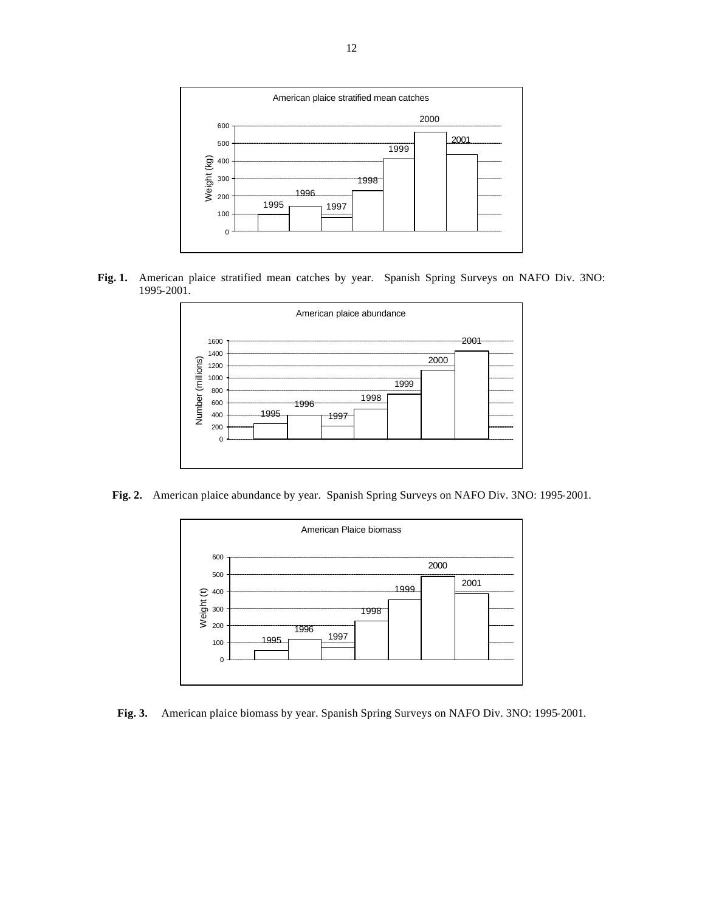

**Fig. 1.** American plaice stratified mean catches by year. Spanish Spring Surveys on NAFO Div. 3NO: 1995-2001.



**Fig. 2.** American plaice abundance by year. Spanish Spring Surveys on NAFO Div. 3NO: 1995-2001.



**Fig. 3.** American plaice biomass by year. Spanish Spring Surveys on NAFO Div. 3NO: 1995-2001.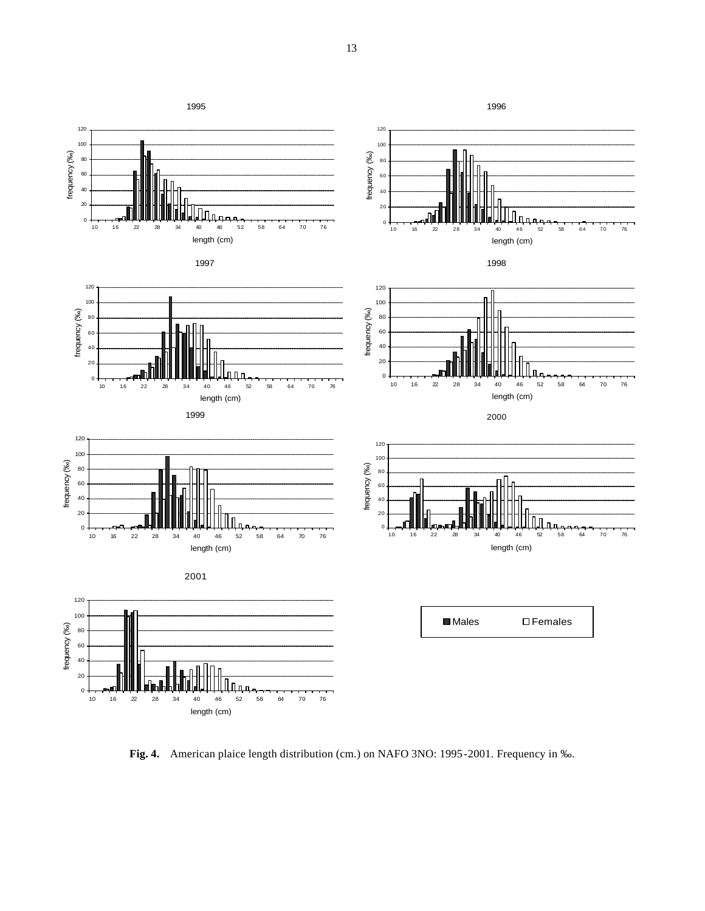

**Fig. 4.** American plaice length distribution (cm.) on NAFO 3NO: 1995-2001. Frequency in ‰.